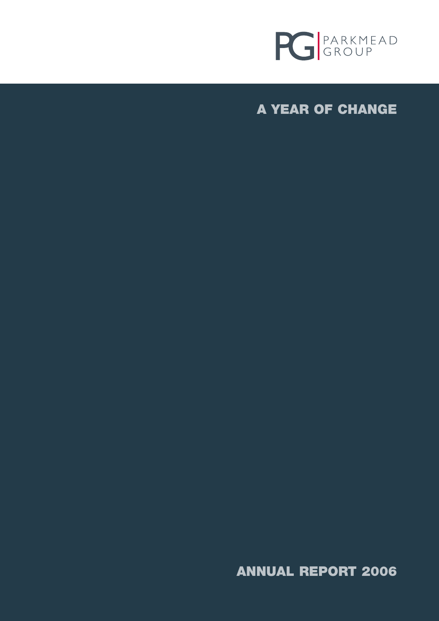

**A YEAR OF CHANGE**

**ANNUAL REPORT 2006**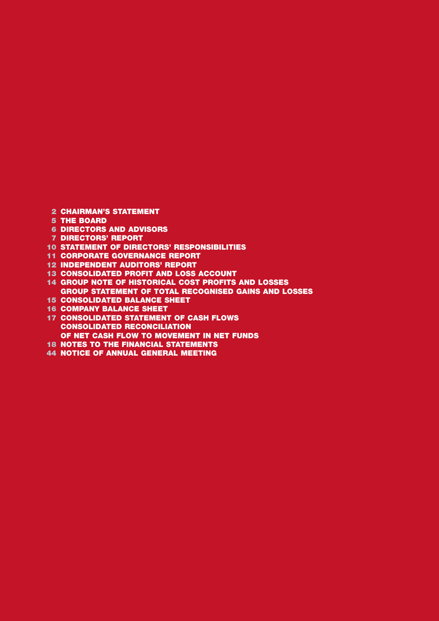- **CHAIRMAN'S STATEMENT**
- **THE BOARD**
- **DIRECTORS AND ADVISORS**
- **DIRECTORS' REPORT**
- **STATEMENT OF DIRECTORS' RESPONSIBILITIES**
- **CORPORATE GOVERNANCE REPORT**
- **INDEPENDENT AUDITORS' REPORT**
- **CONSOLIDATED PROFIT AND LOSS ACCOUNT**
- **GROUP NOTE OF HISTORICAL COST PROFITS AND LOSSES GROUP STATEMENT OF TOTAL RECOGNISED GAINS AND LOSSES**
- **CONSOLIDATED BALANCE SHEET**
- **COMPANY BALANCE SHEET**
- **CONSOLIDATED STATEMENT OF CASH FLOWS CONSOLIDATED RECONCILIATION OF NET CASH FLOW TO MOVEMENT IN NET FUNDS**
- **NOTES TO THE FINANCIAL STATEMENTS**
- **NOTICE OF ANNUAL GENERAL MEETING**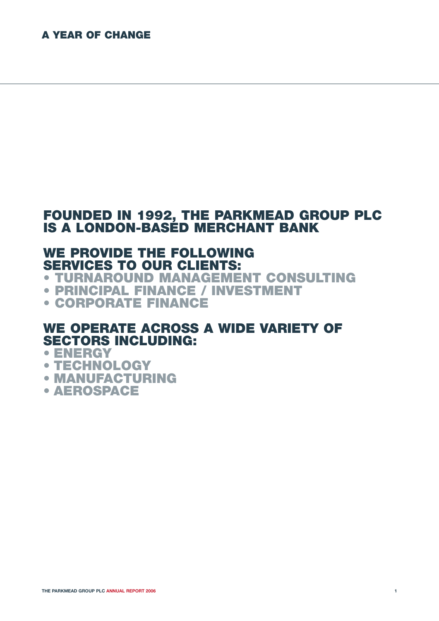# **FOUNDED IN 1992, THE PARKMEAD GROUP PLC IS A LONDON-BASED MERCHANT BANK**

# **WE PROVIDE THE FOLLOWING SERVICES TO OUR CLIENTS:**

**• TURNAROUND MANAGEMENT CONSULTING**

- **• PRINCIPAL FINANCE / INVESTMENT**
- **• CORPORATE FINANCE**

# **WE OPERATE ACROSS A WIDE VARIETY OF SECTORS INCLUDING:**

# **• ENERGY**

- **TECHNOLOGY**
- **MANUFACTURING**
- **AEROSPACE**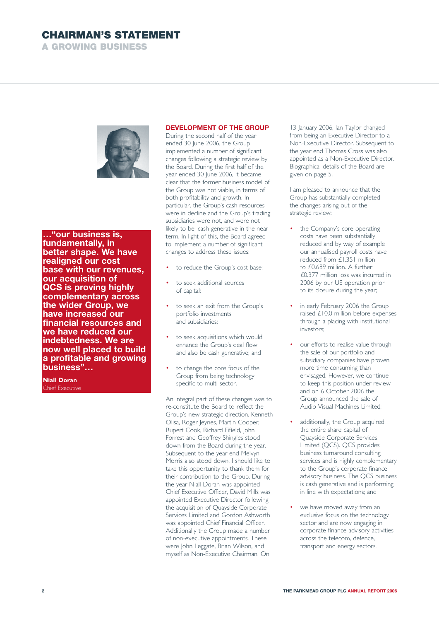# **CHAIRMAN'S STATEMENT**

**A GROWING BUSINESS**



**…"our business is, fundamentally, in better shape. We have realigned our cost base with our revenues, our acquisition of QCS is proving highly complementary across the wider Group, we have increased our financial resources and we have reduced our indebtedness. We are now well placed to build a profitable and growing business"…**

**Niall Doran**  Chief Executive

# **DEVELOPMENT OF THE GROUP**

During the second half of the year ended 30 June 2006, the Group implemented a number of significant changes following a strategic review by the Board. During the first half of the year ended 30 June 2006, it became clear that the former business model of the Group was not viable, in terms of both profitability and growth. In particular, the Group's cash resources were in decline and the Group's trading subsidiaries were not, and were not likely to be, cash generative in the near term. In light of this, the Board agreed to implement a number of significant changes to address these issues:

- to reduce the Group's cost base;
- to seek additional sources of capital;
- to seek an exit from the Group's portfolio investments and subsidiaries;
- to seek acquisitions which would enhance the Group's deal flow and also be cash generative; and
- to change the core focus of the Group from being technology specific to multi sector.

An integral part of these changes was to re-constitute the Board to reflect the Group's new strategic direction. Kenneth Olisa, Roger Jeynes, Martin Cooper, Rupert Cook, Richard Fifield, John Forrest and Geoffrey Shingles stood down from the Board during the year. Subsequent to the year end Melvyn Morris also stood down. I should like to take this opportunity to thank them for their contribution to the Group. During the year Niall Doran was appointed Chief Executive Officer, David Mills was appointed Executive Director following the acquisition of Quayside Corporate Services Limited and Gordon Ashworth was appointed Chief Financial Officer. Additionally the Group made a number of non-executive appointments. These were John Leggate, Brian Wilson, and myself as Non-Executive Chairman. On

13 January 2006, Ian Taylor changed from being an Executive Director to a Non-Executive Director. Subsequent to the year end Thomas Cross was also appointed as a Non-Executive Director. Biographical details of the Board are given on page 5.

I am pleased to announce that the Group has substantially completed the changes arising out of the strategic review:

- the Company's core operating costs have been substantially reduced and by way of example our annualised payroll costs have reduced from £1.351 million to £0.689 million. A further £0.377 million loss was incurred in 2006 by our US operation prior to its closure during the year;
- in early February 2006 the Group raised £10.0 million before expenses through a placing with institutional investors;
- our efforts to realise value through the sale of our portfolio and subsidiary companies have proven more time consuming than envisaged. However, we continue to keep this position under review and on 6 October 2006 the Group announced the sale of Audio Visual Machines Limited;
- additionally, the Group acquired the entire share capital of Quayside Corporate Services Limited (QCS). QCS provides business turnaround consulting services and is highly complementary to the Group's corporate finance advisory business. The QCS business is cash generative and is performing in line with expectations; and
- we have moved away from an exclusive focus on the technology sector and are now engaging in corporate finance advisory activities across the telecom, defence, transport and energy sectors.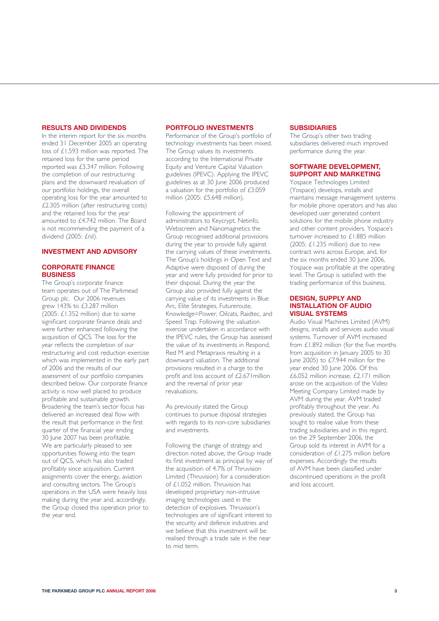# **RESULTS AND DIVIDENDS**

In the interim report for the six months ended 31 December 2005 an operating loss of £1.593 million was reported. The retained loss for the same period reported was £3.347 million. Following the completion of our restructuring plans and the downward revaluation of our portfolio holdings, the overall operating loss for the year amounted to £2.305 million (after restructuring costs) and the retained loss for the year amounted to £4.742 million. The Board is not recommending the payment of a dividend (2005: £nil).

# **INVESTMENT AND ADVISORY**

# **CORPORATE FINANCE BUSINESS**

The Group's corporate finance team operates out of The Parkmead Group plc. Our 2006 revenues grew 143% to £3.287 million (2005: £1.352 million) due to some significant corporate finance deals and were further enhanced following the acquisition of QCS. The loss for the year reflects the completion of our restructuring and cost reduction exercise which was implemented in the early part of 2006 and the results of our assessment of our portfolio companies described below. Our corporate finance activity is now well placed to produce profitable and sustainable growth. Broadening the team's sector focus has delivered an increased deal flow with the result that performance in the first quarter of the financial year ending 30 June 2007 has been profitable. We are particularly pleased to see opportunities flowing into the team out of QCS, which has also traded profitably since acquisition. Current assignments cover the energy, aviation and consulting sectors. The Group's operations in the USA were heavily loss making during the year and, accordingly, the Group closed this operation prior to the year end.

# **PORTFOLIO INVESTMENTS**

Performance of the Group's portfolio of technology investments has been mixed. The Group values its investments according to the International Private Equity and Venture Capital Valuation guidelines (IPEVC). Applying the IPEVC guidelines as at 30 June 2006 produced a valuation for the portfolio of £3.059 million (2005: £5.648 million).

Following the appointment of administrators to Keycrypt, Netinfo, Webscreen and Nanomagnetics the Group recognised additional provisions during the year to provide fully against the carrying values of these investments. The Group's holdings in Open Text and Adaptive were disposed of during the year and were fully provided for prior to their disposal. During the year the Group also provided fully against the carrying value of its investments in Blue Arc, Elite Strategies, Futureroute, Knowledge=Power, Oilcats, Raidtec, and Speed Trap. Following the valuation exercise undertaken in accordance with the IPEVC rules, the Group has assessed the value of its investments in Respond, Red M and Metapraxis resulting in a downward valuation. The additional provisions resulted in a charge to the profit and loss account of  $\tilde{2.67}$  I million and the reversal of prior year revaluations.

As previously stated the Group continues to pursue disposal strategies with regards to its non-core subsidiaries and investments.

Following the change of strategy and direction noted above, the Group made its first investment as principal by way of the acquisition of 4.7% of Thruvision Limited (Thruvision) for a consideration of £1.052 million. Thruvision has developed proprietary non-intrusive imaging technologies used in the detection of explosives. Thruvision's technologies are of significant interest to the security and defence industries and we believe that this investment will be realised through a trade sale in the near to mid term.

# **SUBSIDIARIES**

The Group's other two trading subsidiaries delivered much improved performance during the year.

# **SOFTWARE DEVELOPMENT, SUPPORT AND MARKETING**

Yospace Technologies Limited (Yospace) develops, installs and maintains message management systems for mobile phone operators and has also developed user generated content solutions for the mobile phone industry and other content providers. Yospace's turnover increased to £1.885 million (2005:  $£1.235$  million) due to new contract wins across Europe, and, for the six months ended 30 June 2006, Yospace was profitable at the operating level. The Group is satisfied with the trading performance of this business.

## **DESIGN, SUPPLY AND INSTALLATION OF AUDIO VISUAL SYSTEMS**

Audio Visual Machines Limited (AVM) designs, installs and services audio visual systems. Turnover of AVM increased from £1.892 million (for the five months from acquisition in January 2005 to 30 lune 2005) to  $£7.944$  million for the year ended 30 June 2006. Of this £6.052 million increase, £2.171 million arose on the acquisition of the Video Meeting Company Limited made by AVM during the year. AVM traded profitably throughout the year. As previously stated, the Group has sought to realise value from these trading subsidiaries and in this regard, on the 29 September 2006, the Group sold its interest in AVM for a consideration of £1.275 million before expenses. Accordingly the results of AVM have been classified under discontinued operations in the profit and loss account.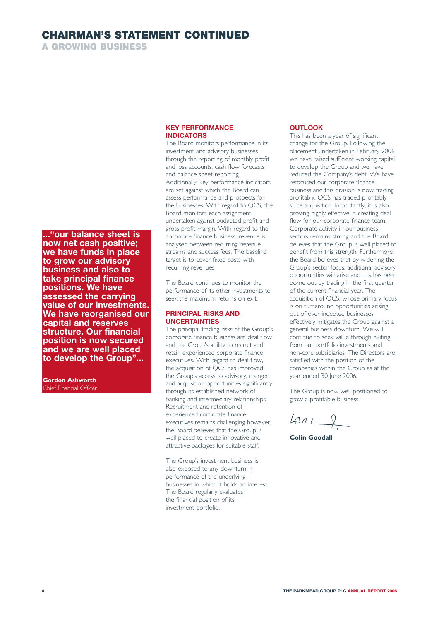# **CHAIRMAN'S STATEMENT CONTINUED**

**A GROWING BUSINESS**

**..."our balance sheet is now net cash positive; we have funds in place to grow our advisory business and also to take principal finance positions. We have assessed the carrying value of our investments. We have reorganised our capital and reserves structure. Our financial position is now secured and we are well placed to develop the Group"...**

**Gordon Ashworth** Chief Financial Officer

# **KEY PERFORMANCE INDICATORS**

The Board monitors performance in its investment and advisory businesses through the reporting of monthly profit and loss accounts, cash flow forecasts, and balance sheet reporting. Additionally, key performance indicators are set against which the Board can assess performance and prospects for the businesses. With regard to QCS, the Board monitors each assignment undertaken against budgeted profit and gross profit margin. With regard to the corporate finance business, revenue is analysed between recurring revenue streams and success fees. The baseline target is to cover fixed costs with recurring revenues.

The Board continues to monitor the performance of its other investments to seek the maximum returns on exit.

# **PRINCIPAL RISKS AND UNCERTAINTIES**

The principal trading risks of the Group's corporate finance business are deal flow and the Group's ability to recruit and retain experienced corporate finance executives. With regard to deal flow, the acquisition of QCS has improved the Group's access to advisory, merger and acquisition opportunities significantly through its established network of banking and intermediary relationships. Recruitment and retention of experienced corporate finance executives remains challenging however, the Board believes that the Group is well placed to create innovative and attractive packages for suitable staff.

The Group's investment business is also exposed to any downturn in performance of the underlying businesses in which it holds an interest. The Board regularly evaluates the financial position of its investment portfolio.

# **OUTLOOK**

This has been a year of significant change for the Group. Following the placement undertaken in February 2006 we have raised sufficient working capital to develop the Group and we have reduced the Company's debt. We have refocused our corporate finance business and this division is now trading profitably. QCS has traded profitably since acquisition. Importantly, it is also proving highly effective in creating deal flow for our corporate finance team. Corporate activity in our business sectors remains strong and the Board believes that the Group is well placed to benefit from this strength. Furthermore, the Board believes that by widening the Group's sector focus, additional advisory opportunities will arise and this has been borne out by trading in the first quarter of the current financial year. The acquisition of QCS, whose primary focus is on turnaround opportunities arising out of over indebted businesses, effectively mitigates the Group against a general business downturn. We will continue to seek value through exiting from our portfolio investments and non-core subsidiaries. The Directors are satisfied with the position of the companies within the Group as at the year ended 30 June 2006.

The Group is now well positioned to grow a profitable business.

 $L$ 

**Colin Goodall**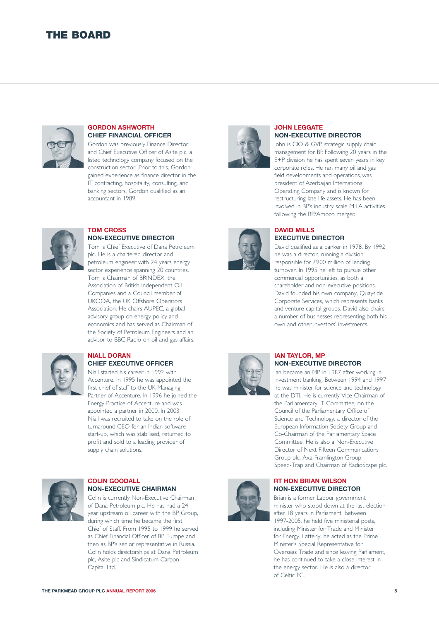# **THE BOARD**



### **GORDON ASHWORTH CHIEF FINANCIAL OFFICER**

Gordon was previously Finance Director and Chief Executive Officer of Asite plc, a listed technology company focused on the construction sector. Prior to this, Gordon gained experience as finance director in the IT contracting, hospitality, consulting, and banking sectors. Gordon qualified as an accountant in 1989.



# **TOM CROSS NON-EXECUTIVE DIRECTOR**

Tom is Chief Executive of Dana Petroleum plc. He is a chartered director and petroleum engineer with 24 years energy sector experience spanning 20 countries. Tom is Chairman of BRINDEX, the Association of British Independent Oil Companies and a Council member of UKOOA, the UK Offshore Operators Association. He chairs AUPEC, a global advisory group on energy policy and economics and has served as Chairman of the Society of Petroleum Engineers and an advisor to BBC Radio on oil and gas affairs.



#### **NIALL DORAN CHIEF EXECUTIVE OFFICER**

Niall started his career in 1992 with Accenture. In 1995 he was appointed the first chief of staff to the UK Managing Partner of Accenture. In 1996 he joined the Energy Practice of Accenture and was appointed a partner in 2000. In 2003 Niall was recruited to take on the role of turnaround CEO for an Indian software start-up, which was stabilised, returned to profit and sold to a leading provider of supply chain solutions.



### **COLIN GOODALL NON-EXECUTIVE CHAIRMAN**

Colin is currently Non-Executive Chairman of Dana Petroleum plc. He has had a 24 year upstream oil career with the BP Group, during which time he became the first Chief of Staff. From 1995 to 1999 he served as Chief Financial Officer of BP Europe and then as BP's senior representative in Russia. Colin holds directorships at Dana Petroleum plc, Asite plc and Sindicatum Carbon Capital Ltd.



### **JOHN LEGGATE NON-EXECUTIVE DIRECTOR**

John is CIO & GVP strategic supply chain management for BP. Following 20 years in the E+P division he has spent seven years in key corporate roles. He ran many oil and gas field developments and operations, was president of Azerbaijan International Operating Company and is known for restructuring late life assets. He has been involved in BP's industry scale M+A activities following the BP/Amoco merger.



## **DAVID MILLS EXECUTIVE DIRECTOR**

David qualified as a banker in 1978. By 1992 he was a director, running a division responsible for £900 million of lending turnover. In 1995 he left to pursue other commercial opportunities, as both a shareholder and non-executive positions. David founded his own company, Quayside Corporate Services, which represents banks and venture capital groups. David also chairs a number of businesses representing both his own and other investors' investments.



# **IAN TAYLOR, MP NON-EXECUTIVE DIRECTOR**

Ian became an MP in 1987 after working in investment banking. Between 1994 and 1997 he was minister for science and technology at the DTI. He is currently Vice-Chairman of the Parliamentary IT Committee, on the Council of the Parliamentary Office of Science and Technology, a director of the European Information Society Group and Co-Chairman of the Parliamentary Space Committee. He is also a Non-Executive Director of Next Fifteen Communications Group plc, Axa-Framlington Group, Speed-Trap and Chairman of RadioScape plc.

# **RT HON BRIAN WILSON NON-EXECUTIVE DIRECTOR**

Brian is a former Labour government minister who stood down at the last election after 18 years in Parliament. Between 1997-2005, he held five ministerial posts, including Minister for Trade and Minister for Energy. Latterly, he acted as the Prime Minister's Special Representative for Overseas Trade and since leaving Parliament, he has continued to take a close interest in the energy sector. He is also a director of Celtic FC.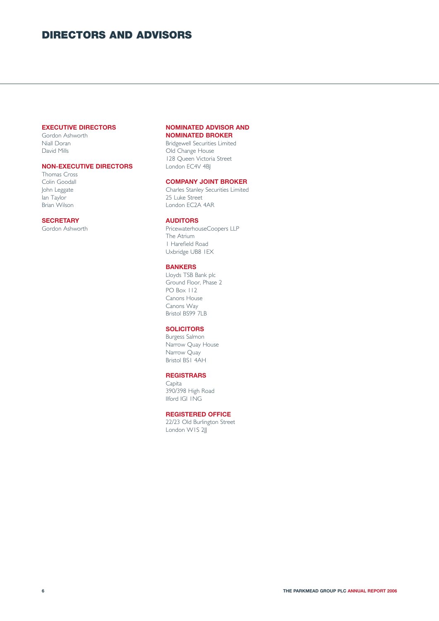# **DIRECTORS AND ADVISORS**

# **EXECUTIVE DIRECTORS**

Gordon Ashworth Niall Doran David Mills

# **NON-EXECUTIVE DIRECTORS**

Thomas Cross Colin Goodall John Leggate lan Taylor Brian Wilson

## **SECRETARY**

Gordon Ashworth

# **NOMINATED ADVISOR AND NOMINATED BROKER**

Bridgewell Securities Limited Old Change House 128 Queen Victoria Street London EC4V 4B

## **COMPANY JOINT BROKER**

Charles Stanley Securities Limited 25 Luke Street London EC2A 4AR

### **AUDITORS**

PricewaterhouseCoopers LLP The Atrium 1 Harefield Road Uxbridge UB8 1EX

## **BANKERS**

Lloyds TSB Bank plc Ground Floor, Phase 2 PO Box 112 Canons House Canons Way Bristol BS99 7LB

# **SOLICITORS**

Burgess Salmon Narrow Quay House Narrow Quay Bristol BS1 4AH

# **REGISTRARS**

Capita 390/398 High Road Ilford IGI 1NG

# **REGISTERED OFFICE**

22/23 Old Burlington Street London W1S 2JJ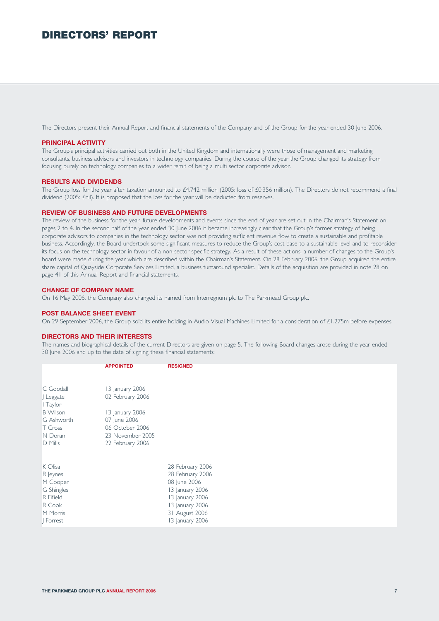# **DIRECTORS' REPORT**

The Directors present their Annual Report and financial statements of the Company and of the Group for the year ended 30 June 2006.

### **PRINCIPAL ACTIVITY**

The Group's principal activities carried out both in the United Kingdom and internationally were those of management and marketing consultants, business advisors and investors in technology companies. During the course of the year the Group changed its strategy from focusing purely on technology companies to a wider remit of being a multi sector corporate advisor.

#### **RESULTS AND DIVIDENDS**

The Group loss for the year after taxation amounted to £4.742 million (2005: loss of £0.356 million). The Directors do not recommend a final dividend (2005: £nil). It is proposed that the loss for the year will be deducted from reserves.

#### **REVIEW OF BUSINESS AND FUTURE DEVELOPMENTS**

The review of the business for the year, future developments and events since the end of year are set out in the Chairman's Statement on pages 2 to 4. In the second half of the year ended 30 June 2006 it became increasingly clear that the Group's former strategy of being corporate advisors to companies in the technology sector was not providing sufficient revenue flow to create a sustainable and profitable business. Accordingly, the Board undertook some significant measures to reduce the Group's cost base to a sustainable level and to reconsider its focus on the technology sector in favour of a non-sector specific strategy. As a result of these actions, a number of changes to the Group's board were made during the year which are described within the Chairman's Statement. On 28 February 2006, the Group acquired the entire share capital of Quayside Corporate Services Limited, a business turnaround specialist. Details of the acquisition are provided in note 28 on page 41 of this Annual Report and financial statements.

### **CHANGE OF COMPANY NAME**

On 16 May 2006, the Company also changed its named from Interregnum plc to The Parkmead Group plc.

### **POST BALANCE SHEET EVENT**

On 29 September 2006, the Group sold its entire holding in Audio Visual Machines Limited for a consideration of £1.275m before expenses.

#### **DIRECTORS AND THEIR INTERESTS**

The names and biographical details of the current Directors are given on page 5. The following Board changes arose during the year ended 30 June 2006 and up to the date of signing these financial statements:

|                 | <b>APPOINTED</b> | <b>RESIGNED</b>  |
|-----------------|------------------|------------------|
|                 |                  |                  |
| C Goodall       | 13 January 2006  |                  |
| J Leggate       | 02 February 2006 |                  |
| I Taylor        |                  |                  |
| <b>B</b> Wilson | 13 January 2006  |                  |
| G Ashworth      | 07 June 2006     |                  |
| T Cross         | 06 October 2006  |                  |
| N Doran         | 23 November 2005 |                  |
| D Mills         | 22 February 2006 |                  |
|                 |                  |                  |
| K Olisa         |                  | 28 February 2006 |
| R Jeynes        |                  | 28 February 2006 |
| M Cooper        |                  | 08 June 2006     |
| G Shingles      |                  | 13 January 2006  |
| R Fifield       |                  | 13 January 2006  |
| R Cook          |                  | 13 January 2006  |
| M Morris        |                  | 31 August 2006   |
| Forrest         |                  | 13 January 2006  |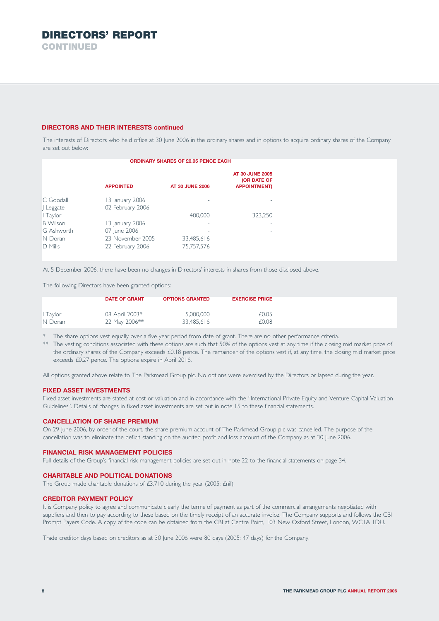## **DIRECTORS AND THEIR INTERESTS continued**

The interests of Directors who held office at 30 June 2006 in the ordinary shares and in options to acquire ordinary shares of the Company are set out below:

|                 | <b>ORDINARY SHARES OF £0.05 PENCE EACH</b> |                        |                                                             |  |  |  |
|-----------------|--------------------------------------------|------------------------|-------------------------------------------------------------|--|--|--|
|                 | <b>APPOINTED</b>                           | <b>AT 30 JUNE 2006</b> | <b>AT 30 JUNE 2005</b><br>(OR DATE OF<br><b>APPOINTMENT</b> |  |  |  |
| C. Goodall      | 13 January 2006                            | ۰                      |                                                             |  |  |  |
| Leggate         | 02 February 2006                           | ۰                      |                                                             |  |  |  |
| I Taylor        |                                            | 400.000                | 323,250                                                     |  |  |  |
| <b>B</b> Wilson | 13 January 2006                            |                        |                                                             |  |  |  |
| G Ashworth      | 07 June 2006                               |                        |                                                             |  |  |  |
| N Doran         | 23 November 2005                           | 33,485,616             |                                                             |  |  |  |
| D Mills         | 22 February 2006                           | 75.757.576             | ۰                                                           |  |  |  |

At 5 December 2006, there have been no changes in Directors' interests in shares from those disclosed above.

The following Directors have been granted options:

|          | <b>DATE OF GRANT</b> | <b>OPTIONS GRANTED</b> | <b>EXERCISE PRICE</b> |
|----------|----------------------|------------------------|-----------------------|
| l Taylor | 08 April 2003*       | 5,000,000              | £0.05                 |
| N Doran  | 22 May 2006**        | 33,485,616             | £0.08                 |

The share options vest equally over a five year period from date of grant. There are no other performance criteria.

The vesting conditions associated with these options are such that 50% of the options vest at any time if the closing mid market price of the ordinary shares of the Company exceeds £0.18 pence. The remainder of the options vest if, at any time, the closing mid market price exceeds £0.27 pence. The options expire in April 2016.

All options granted above relate to The Parkmead Group plc. No options were exercised by the Directors or lapsed during the year.

## **FIXED ASSET INVESTMENTS**

Fixed asset investments are stated at cost or valuation and in accordance with the "International Private Equity and Venture Capital Valuation Guidelines". Details of changes in fixed asset investments are set out in note 15 to these financial statements.

## **CANCELLATION OF SHARE PREMIUM**

On 29 June 2006, by order of the court, the share premium account of The Parkmead Group plc was cancelled. The purpose of the cancellation was to eliminate the deficit standing on the audited profit and loss account of the Company as at 30 June 2006.

## **FINANCIAL RISK MANAGEMENT POLICIES**

Full details of the Group's financial risk management policies are set out in note 22 to the financial statements on page 34.

### **CHARITABLE AND POLITICAL DONATIONS**

The Group made charitable donations of £3,710 during the year (2005: £nil).

### **CREDITOR PAYMENT POLICY**

It is Company policy to agree and communicate clearly the terms of payment as part of the commercial arrangements negotiated with suppliers and then to pay according to these based on the timely receipt of an accurate invoice. The Company supports and follows the CBI Prompt Payers Code. A copy of the code can be obtained from the CBI at Centre Point, 103 New Oxford Street, London, WC1A 1DU.

Trade creditor days based on creditors as at 30 June 2006 were 80 days (2005: 47 days) for the Company.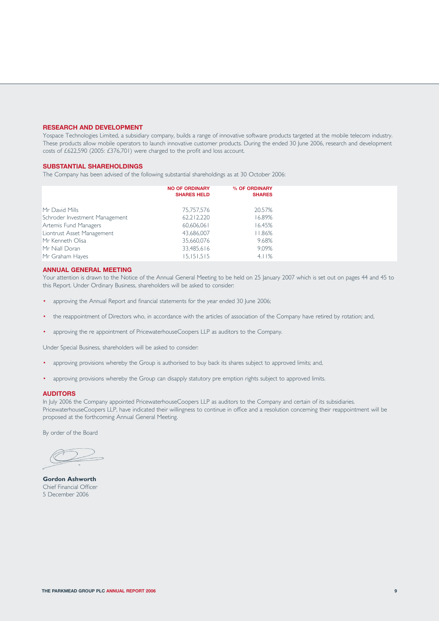#### **RESEARCH AND DEVELOPMENT**

Yospace Technologies Limited, a subsidiary company, builds a range of innovative software products targeted at the mobile telecom industry. These products allow mobile operators to launch innovative customer products. During the ended 30 June 2006, research and development costs of £622,590 (2005: £376,701) were charged to the profit and loss account.

### **SUBSTANTIAL SHAREHOLDINGS**

The Company has been advised of the following substantial shareholdings as at 30 October 2006:

| 75,757,576<br>20.57%<br>62,212,220<br>16.89%<br>16.45%<br>60,606,061<br>43,686,007<br>  1.86%<br>35,660,076<br>9.68%<br>9.09%<br>33,485,616<br>4.11%<br>15,151,515 |                                | <b>NO OF ORDINARY</b><br><b>SHARES HELD</b> | % OF ORDINARY<br><b>SHARES</b> |
|--------------------------------------------------------------------------------------------------------------------------------------------------------------------|--------------------------------|---------------------------------------------|--------------------------------|
|                                                                                                                                                                    | Mr David Mills                 |                                             |                                |
|                                                                                                                                                                    | Schroder Investment Management |                                             |                                |
|                                                                                                                                                                    | Artemis Fund Managers          |                                             |                                |
|                                                                                                                                                                    | Liontrust Asset Management     |                                             |                                |
|                                                                                                                                                                    | Mr Kenneth Olisa               |                                             |                                |
|                                                                                                                                                                    | Mr Niall Doran                 |                                             |                                |
|                                                                                                                                                                    | Mr Graham Hayes                |                                             |                                |

# **ANNUAL GENERAL MEETING**

Your attention is drawn to the Notice of the Annual General Meeting to be held on 25 January 2007 which is set out on pages 44 and 45 to this Report. Under Ordinary Business, shareholders will be asked to consider:

- approving the Annual Report and financial statements for the year ended 30 June 2006;
- the reappointment of Directors who, in accordance with the articles of association of the Company have retired by rotation; and,
- approving the re appointment of PricewaterhouseCoopers LLP as auditors to the Company.

Under Special Business, shareholders will be asked to consider:

- approving provisions whereby the Group is authorised to buy back its shares subject to approved limits; and,
- approving provisions whereby the Group can disapply statutory pre emption rights subject to approved limits.

#### **AUDITORS**

In July 2006 the Company appointed PricewaterhouseCoopers LLP as auditors to the Company and certain of its subsidiaries. PricewaterhouseCoopers LLP, have indicated their willingness to continue in office and a resolution concerning their reappointment will be proposed at the forthcoming Annual General Meeting.

By order of the Board

**Gordon Ashworth** Chief Financial Officer 5 December 2006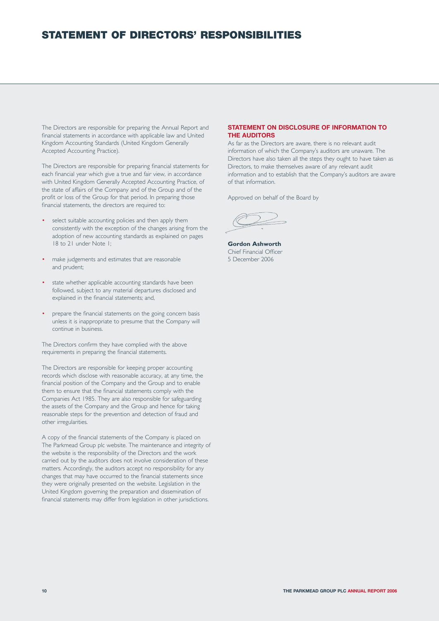# **STATEMENT OF DIRECTORS' RESPONSIBILITIES**

The Directors are responsible for preparing the Annual Report and financial statements in accordance with applicable law and United Kingdom Accounting Standards (United Kingdom Generally Accepted Accounting Practice).

The Directors are responsible for preparing financial statements for each financial year which give a true and fair view, in accordance with United Kingdom Generally Accepted Accounting Practice, of the state of affairs of the Company and of the Group and of the profit or loss of the Group for that period. In preparing those financial statements, the directors are required to:

- select suitable accounting policies and then apply them consistently with the exception of the changes arising from the adoption of new accounting standards as explained on pages 18 to 21 under Note 1;
- make judgements and estimates that are reasonable and prudent;
- state whether applicable accounting standards have been followed, subject to any material departures disclosed and explained in the financial statements; and,
- prepare the financial statements on the going concern basis unless it is inappropriate to presume that the Company will continue in business.

The Directors confirm they have complied with the above requirements in preparing the financial statements.

The Directors are responsible for keeping proper accounting records which disclose with reasonable accuracy, at any time, the financial position of the Company and the Group and to enable them to ensure that the financial statements comply with the Companies Act 1985. They are also responsible for safeguarding the assets of the Company and the Group and hence for taking reasonable steps for the prevention and detection of fraud and other irregularities.

A copy of the financial statements of the Company is placed on The Parkmead Group plc website. The maintenance and integrity of the website is the responsibility of the Directors and the work carried out by the auditors does not involve consideration of these matters. Accordingly, the auditors accept no responsibility for any changes that may have occurred to the financial statements since they were originally presented on the website. Legislation in the United Kingdom governing the preparation and dissemination of financial statements may differ from legislation in other jurisdictions.

# **STATEMENT ON DISCLOSURE OF INFORMATION TO THE AUDITORS**

As far as the Directors are aware, there is no relevant audit information of which the Company's auditors are unaware. The Directors have also taken all the steps they ought to have taken as Directors, to make themselves aware of any relevant audit information and to establish that the Company's auditors are aware of that information.

Approved on behalf of the Board by

**Gordon Ashworth** Chief Financial Officer 5 December 2006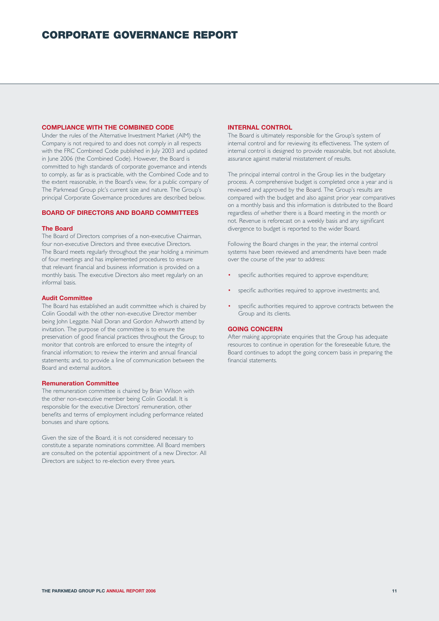## **COMPLIANCE WITH THE COMBINED CODE**

Under the rules of the Alternative Investment Market (AIM) the Company is not required to and does not comply in all respects with the FRC Combined Code published in July 2003 and updated in June 2006 (the Combined Code). However, the Board is committed to high standards of corporate governance and intends to comply, as far as is practicable, with the Combined Code and to the extent reasonable, in the Board's view, for a public company of The Parkmead Group plc's current size and nature. The Group's principal Corporate Governance procedures are described below.

#### **BOARD OF DIRECTORS AND BOARD COMMITTEES**

#### **The Board**

The Board of Directors comprises of a non-executive Chairman, four non-executive Directors and three executive Directors. The Board meets regularly throughout the year holding a minimum of four meetings and has implemented procedures to ensure that relevant financial and business information is provided on a monthly basis. The executive Directors also meet regularly on an informal basis.

#### **Audit Committee**

The Board has established an audit committee which is chaired by Colin Goodall with the other non-executive Director member being John Leggate. Niall Doran and Gordon Ashworth attend by invitation. The purpose of the committee is to ensure the preservation of good financial practices throughout the Group; to monitor that controls are enforced to ensure the integrity of financial information; to review the interim and annual financial statements; and, to provide a line of communication between the Board and external auditors.

### **Remuneration Committee**

The remuneration committee is chaired by Brian Wilson with the other non-executive member being Colin Goodall. It is responsible for the executive Directors' remuneration, other benefits and terms of employment including performance related bonuses and share options.

Given the size of the Board, it is not considered necessary to constitute a separate nominations committee. All Board members are consulted on the potential appointment of a new Director. All Directors are subject to re-election every three years.

### **INTERNAL CONTROL**

The Board is ultimately responsible for the Group's system of internal control and for reviewing its effectiveness. The system of internal control is designed to provide reasonable, but not absolute, assurance against material misstatement of results.

The principal internal control in the Group lies in the budgetary process. A comprehensive budget is completed once a year and is reviewed and approved by the Board. The Group's results are compared with the budget and also against prior year comparatives on a monthly basis and this information is distributed to the Board regardless of whether there is a Board meeting in the month or not. Revenue is reforecast on a weekly basis and any significant divergence to budget is reported to the wider Board.

Following the Board changes in the year, the internal control systems have been reviewed and amendments have been made over the course of the year to address:

- specific authorities required to approve expenditure;
- specific authorities required to approve investments; and,
- specific authorities required to approve contracts between the Group and its clients.

## **GOING CONCERN**

After making appropriate enquiries that the Group has adequate resources to continue in operation for the foreseeable future, the Board continues to adopt the going concern basis in preparing the financial statements.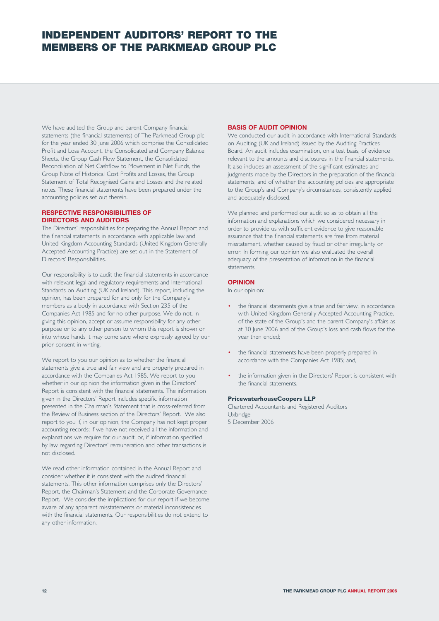# **INDEPENDENT AUDITORS' REPORT TO THE MEMBERS OF THE PARKMEAD GROUP PLC**

We have audited the Group and parent Company financial statements (the financial statements) of The Parkmead Group plc for the year ended 30 June 2006 which comprise the Consolidated Profit and Loss Account, the Consolidated and Company Balance Sheets, the Group Cash Flow Statement, the Consolidated Reconciliation of Net Cashflow to Movement in Net Funds, the Group Note of Historical Cost Profits and Losses, the Group Statement of Total Recognised Gains and Losses and the related notes. These financial statements have been prepared under the accounting policies set out therein.

## **RESPECTIVE RESPONSIBILITIES OF DIRECTORS AND AUDITORS**

The Directors' responsibilities for preparing the Annual Report and the financial statements in accordance with applicable law and United Kingdom Accounting Standards (United Kingdom Generally Accepted Accounting Practice) are set out in the Statement of Directors' Responsibilities.

Our responsibility is to audit the financial statements in accordance with relevant legal and regulatory requirements and International Standards on Auditing (UK and Ireland). This report, including the opinion, has been prepared for and only for the Company's members as a body in accordance with Section 235 of the Companies Act 1985 and for no other purpose. We do not, in giving this opinion, accept or assume responsibility for any other purpose or to any other person to whom this report is shown or into whose hands it may come save where expressly agreed by our prior consent in writing.

We report to you our opinion as to whether the financial statements give a true and fair view and are properly prepared in accordance with the Companies Act 1985. We report to you whether in our opinion the information given in the Directors' Report is consistent with the financial statements. The information given in the Directors' Report includes specific information presented in the Chairman's Statement that is cross-referred from the Review of Business section of the Directors' Report. We also report to you if, in our opinion, the Company has not kept proper accounting records; if we have not received all the information and explanations we require for our audit; or, if information specified by law regarding Directors' remuneration and other transactions is not disclosed.

We read other information contained in the Annual Report and consider whether it is consistent with the audited financial statements. This other information comprises only the Directors' Report, the Chairman's Statement and the Corporate Governance Report. We consider the implications for our report if we become aware of any apparent misstatements or material inconsistencies with the financial statements. Our responsibilities do not extend to any other information.

### **BASIS OF AUDIT OPINION**

We conducted our audit in accordance with International Standards on Auditing (UK and Ireland) issued by the Auditing Practices Board. An audit includes examination, on a test basis, of evidence relevant to the amounts and disclosures in the financial statements. It also includes an assessment of the significant estimates and judgments made by the Directors in the preparation of the financial statements, and of whether the accounting policies are appropriate to the Group's and Company's circumstances, consistently applied and adequately disclosed.

We planned and performed our audit so as to obtain all the information and explanations which we considered necessary in order to provide us with sufficient evidence to give reasonable assurance that the financial statements are free from material misstatement, whether caused by fraud or other irregularity or error. In forming our opinion we also evaluated the overall adequacy of the presentation of information in the financial statements.

## **OPINION**

In our opinion:

- the financial statements give a true and fair view, in accordance with United Kingdom Generally Accepted Accounting Practice, of the state of the Group's and the parent Company's affairs as at 30 June 2006 and of the Group's loss and cash flows for the year then ended;
- the financial statements have been properly prepared in accordance with the Companies Act 1985; and,
- the information given in the Directors' Report is consistent with the financial statements.

### **PricewaterhouseCoopers LLP**

Chartered Accountants and Registered Auditors Uxbridge 5 December 2006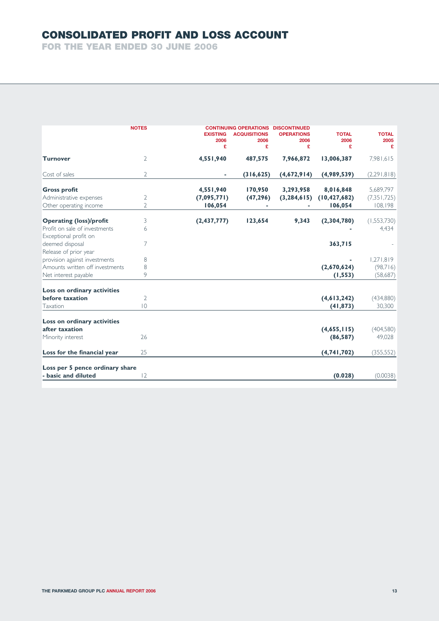# **CONSOLIDATED PROFIT AND LOSS ACCOUNT**

**FOR THE YEAR ENDED 30 JUNE 2006**

|                                                        | <b>NOTES</b>   | <b>EXISTING</b><br>2006<br>£ | <b>CONTINUING OPERATIONS DISCONTINUED</b><br><b>ACQUISITIONS</b><br>2006<br>£ | <b>OPERATIONS</b><br>2006<br>£ | <b>TOTAL</b><br>2006<br>£ | <b>TOTAL</b><br>2005<br>£ |
|--------------------------------------------------------|----------------|------------------------------|-------------------------------------------------------------------------------|--------------------------------|---------------------------|---------------------------|
| <b>Turnover</b>                                        | 2              | 4,551,940                    | 487,575                                                                       | 7,966,872                      | 13,006,387                | 7,981,615                 |
| Cost of sales                                          | $\overline{2}$ |                              | (316, 625)                                                                    | (4,672,914)                    | (4,989,539)               | (2,291,818)               |
| <b>Gross profit</b>                                    |                | 4,551,940                    | 170,950                                                                       | 3,293,958                      | 8,016,848                 | 5,689,797                 |
| Administrative expenses                                | 2              | (7,095,771)                  | (47, 296)                                                                     | (3, 284, 615)                  | (10, 427, 682)            | (7, 351, 725)             |
| Other operating income                                 | $\overline{2}$ | 106,054                      |                                                                               |                                | 106,054                   | 108,198                   |
| <b>Operating (loss)/profit</b>                         | 3              | (2,437,777)                  | 123,654                                                                       | 9,343                          | (2,304,780)               | (1,553,730)               |
| Profit on sale of investments<br>Exceptional profit on | 6              |                              |                                                                               |                                |                           | 4,434                     |
| deemed disposal                                        | 7              |                              |                                                                               |                                | 363,715                   |                           |
| Release of prior year                                  |                |                              |                                                                               |                                |                           |                           |
| provision against investments                          | 8              |                              |                                                                               |                                |                           | 1,271,819                 |
| Amounts written off investments                        | 8              |                              |                                                                               |                                | (2,670,624)               | (98,716)                  |
| Net interest payable                                   | 9              |                              |                                                                               |                                | (1, 553)                  | (58,687)                  |
| Loss on ordinary activities                            |                |                              |                                                                               |                                |                           |                           |
| before taxation                                        | 2              |                              |                                                                               |                                | (4, 613, 242)             | (434,880)                 |
| Taxation                                               | $ 0\rangle$    |                              |                                                                               |                                | (41, 873)                 | 30,300                    |
| Loss on ordinary activities                            |                |                              |                                                                               |                                |                           |                           |
| after taxation                                         |                |                              |                                                                               |                                | (4,655,115)               | (404,580)                 |
| Minority interest                                      | 26             |                              |                                                                               |                                | (86, 587)                 | 49,028                    |
| Loss for the financial year                            | 25             |                              |                                                                               |                                | (4, 741, 702)             | (355, 552)                |
| Loss per 5 pence ordinary share                        |                |                              |                                                                               |                                |                           |                           |
| - basic and diluted                                    | 2              |                              |                                                                               |                                | (0.028)                   | (0.0038)                  |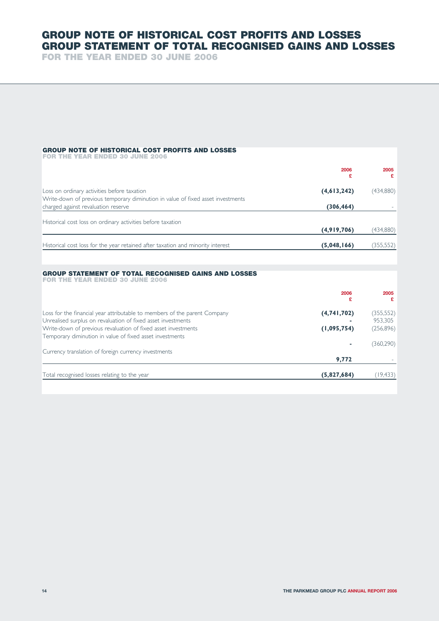# **GROUP NOTE OF HISTORICAL COST PROFITS AND LOSSES GROUP STATEMENT OF TOTAL RECOGNISED GAINS AND LOSSES**

**FOR THE YEAR ENDED 30 JUNE 2006**

# **GROUP NOTE OF HISTORICAL COST PROFITS AND LOSSES**

| <b>FOR THE YEAR ENDED 30 JUNE 2006</b> |  |  |  |
|----------------------------------------|--|--|--|
|                                        |  |  |  |

|                                                                                                                        | 2006<br>£   | 2005<br>£  |
|------------------------------------------------------------------------------------------------------------------------|-------------|------------|
| Loss on ordinary activities before taxation                                                                            | (4,613,242) | (434,880)  |
| Write-down of previous temporary diminution in value of fixed asset investments<br>charged against revaluation reserve | (306, 464)  |            |
| Historical cost loss on ordinary activities before taxation                                                            |             |            |
|                                                                                                                        | (4,919,706) | (434,880)  |
| Historical cost loss for the year retained after taxation and minority interest                                        | (5,048,166) | (355, 552) |

#### **GROUP STATEMENT OF TOTAL RECOGNISED GAINS AND LOSSES FOR THE YEAR ENDED 30 JUNE 2006**

| 2006<br>£                                                                                | 2005       |
|------------------------------------------------------------------------------------------|------------|
| Loss for the financial year attributable to members of the parent Company<br>(4,741,702) | (355,552)  |
| Unrealised surplus on revaluation of fixed asset investments                             | 953,305    |
| Write-down of previous revaluation of fixed asset investments<br>(1,095,754)             | (256, 896) |
| Temporary diminution in value of fixed asset investments                                 |            |
|                                                                                          | (360, 290) |
| Currency translation of foreign currency investments                                     |            |
| 9,772                                                                                    |            |
| Total recognised losses relating to the year<br>(5,827,684)                              | 19,433)    |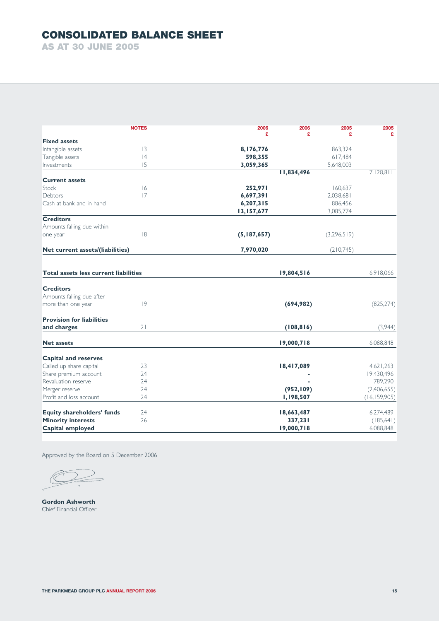# **CONSOLIDATED BALANCE SHEET**

**AS AT 30 JUNE 2005**

|                                              | <b>NOTES</b> | 2006                    | 2006<br>2005 | 2005           |
|----------------------------------------------|--------------|-------------------------|--------------|----------------|
|                                              |              | £                       | £<br>£       | £              |
| <b>Fixed assets</b>                          |              |                         |              |                |
| Intangible assets                            | 13           | 8,176,776               | 863,324      |                |
| Tangible assets                              | 4            | 598,355                 | 617,484      |                |
| Investments                                  | 15           | 3,059,365<br>11,834,496 | 5,648,003    | 7,128,811      |
| <b>Current assets</b>                        |              |                         |              |                |
| Stock                                        | 16           | 252,971                 | 160,637      |                |
| Debtors                                      | 17           | 6,697,391               | 2,038,681    |                |
| Cash at bank and in hand                     |              | 6,207,315               | 886,456      |                |
|                                              |              | 13,157,677              | 3,085,774    |                |
| <b>Creditors</b>                             |              |                         |              |                |
| Amounts falling due within                   |              |                         |              |                |
| one year                                     | 8            | (5,187,657)             | (3,296,519)  |                |
| Net current assets/(liabilities)             |              | 7,970,020               | (210,745)    |                |
|                                              |              |                         |              |                |
| <b>Total assets less current liabilities</b> |              | 19,804,516              |              | 6,918,066      |
| <b>Creditors</b>                             |              |                         |              |                |
| Amounts falling due after                    |              |                         |              |                |
| more than one year                           | 9            | (694, 982)              |              | (825, 274)     |
| <b>Provision for liabilities</b>             |              |                         |              |                |
| and charges                                  | 21           | (108, 816)              |              | (3,944)        |
| <b>Net assets</b>                            |              | 19,000,718              |              | 6,088,848      |
| <b>Capital and reserves</b>                  |              |                         |              |                |
| Called up share capital                      | 23           | 18,417,089              |              | 4,621,263      |
| Share premium account                        | 24           |                         |              | 19,430,496     |
| Revaluation reserve                          | 24           |                         |              | 789,290        |
| Merger reserve                               | 24           | (952, 109)              |              | (2,406,655)    |
| Profit and loss account                      | 24           | 1,198,507               |              | (16, 159, 905) |
| <b>Equity shareholders' funds</b>            | 24           | 18,663,487              |              | 6,274,489      |
| <b>Minority interests</b>                    | 26           | 337,231                 |              | (185,641)      |
| Capital employed                             |              | 19,000,718              |              | 6,088,848      |

Approved by the Board on 5 December 2006

 $\bigcirc$ 

**Gordon Ashworth** Chief Financial Officer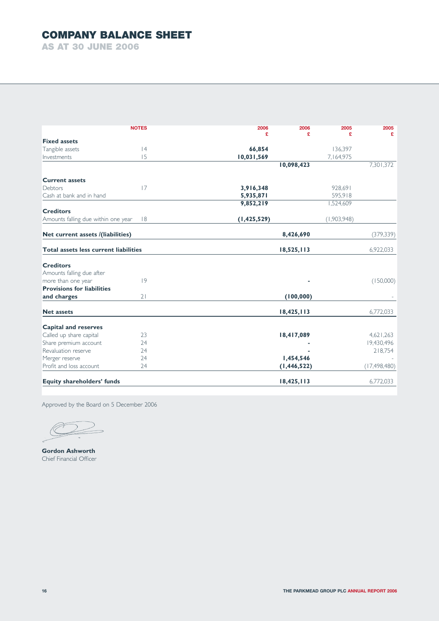# **COMPANY BALANCE SHEET**

**AS AT 30 JUNE 2006**

|                                              | <b>NOTES</b> | 2006<br>£     | 2006<br>£     | 2005<br>£   | 2005<br>£      |
|----------------------------------------------|--------------|---------------|---------------|-------------|----------------|
| <b>Fixed assets</b>                          |              |               |               |             |                |
| Tangible assets                              | 4            | 66,854        |               | 136,397     |                |
| Investments                                  | 15           | 10,031,569    |               | 7,164,975   |                |
|                                              |              |               | 10,098,423    |             | 7,301,372      |
| <b>Current assets</b>                        |              |               |               |             |                |
| Debtors                                      | 17           | 3,916,348     |               | 928,691     |                |
| Cash at bank and in hand                     |              | 5,935,871     |               | 595,918     |                |
|                                              |              | 9,852,219     |               | 1,524,609   |                |
| <b>Creditors</b>                             |              |               |               |             |                |
| Amounts falling due within one year          | 8            | (1, 425, 529) |               | (1,903,948) |                |
| Net current assets /(liabilities)            |              |               | 8,426,690     |             | (379, 339)     |
| <b>Total assets less current liabilities</b> |              |               | 18,525,113    |             | 6,922,033      |
| <b>Creditors</b>                             |              |               |               |             |                |
| Amounts falling due after                    |              |               |               |             |                |
| more than one year                           | 9            |               |               |             | (150,000)      |
| <b>Provisions for liabilities</b>            |              |               |               |             |                |
| and charges                                  | 21           |               | (100, 000)    |             |                |
| <b>Net assets</b>                            |              |               | 18,425,113    |             | 6,772,033      |
| <b>Capital and reserves</b>                  |              |               |               |             |                |
| Called up share capital                      | 23           |               | 18,417,089    |             | 4,621,263      |
| Share premium account                        | 24           |               |               |             | 19,430,496     |
| Revaluation reserve                          | 24           |               |               |             | 218,754        |
| Merger reserve                               | 24           |               | 1,454,546     |             |                |
| Profit and loss account                      | 24           |               | (1, 446, 522) |             | (17, 498, 480) |
| <b>Equity shareholders' funds</b>            |              |               | 18,425,113    |             | 6,772,033      |

Approved by the Board on 5 December 2006

 $\bigcirc$ 

**Gordon Ashworth** Chief Financial Officer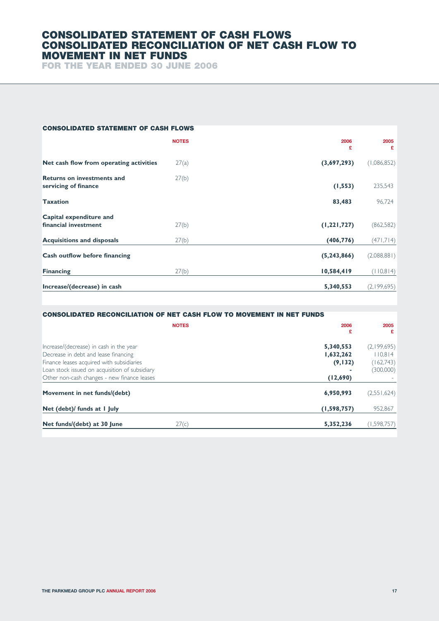# **CONSOLIDATED STATEMENT OF CASH FLOWS CONSOLIDATED RECONCILIATION OF NET CASH FLOW TO MOVEMENT IN NET FUNDS**

**FOR THE YEAR ENDED 30 JUNE 2006**

| <b>CONSOLIDATED STATEMENT OF CASH FLOWS</b>               |              |               |             |
|-----------------------------------------------------------|--------------|---------------|-------------|
|                                                           | <b>NOTES</b> | 2006<br>£     | 2005<br>£   |
| Net cash flow from operating activities                   | 27(a)        | (3,697,293)   | (1,086,852) |
| <b>Returns on investments and</b><br>servicing of finance | 27(b)        | (1, 553)      | 235,543     |
| <b>Taxation</b>                                           |              | 83,483        | 96,724      |
| Capital expenditure and                                   |              |               |             |
| financial investment                                      | 27(b)        | (1, 221, 727) | (862,582)   |
| <b>Acquisitions and disposals</b>                         | 27(b)        | (406, 776)    | (471,714)   |
| <b>Cash outflow before financing</b>                      |              | (5, 243, 866) | (2,088,881) |
| <b>Financing</b>                                          | 27(b)        | 10,584,419    | (110, 814)  |
| Increase/(decrease) in cash                               |              | 5,340,553     | (2,199,695) |

| <b>CONSOLIDATED RECONCILIATION OF NET CASH FLOW TO MOVEMENT IN NET FUNDS</b>                                                                                                                                                  |                                                |                                                  |
|-------------------------------------------------------------------------------------------------------------------------------------------------------------------------------------------------------------------------------|------------------------------------------------|--------------------------------------------------|
| <b>NOTES</b>                                                                                                                                                                                                                  | 2006<br>£                                      | 2005<br>£                                        |
| Increase/(decrease) in cash in the year<br>Decrease in debt and lease financing<br>Finance leases acquired with subsidiaries<br>Loan stock issued on acquisition of subsidiary<br>Other non-cash changes - new finance leases | 5,340,553<br>1,632,262<br>(9, 132)<br>(12,690) | (2,199,695)<br>110,814<br>(162,743)<br>(300,000) |
| Movement in net funds/(debt)                                                                                                                                                                                                  | 6,950,993                                      | (2,551,624)                                      |
| Net (debt)/ funds at I July<br>Net funds/(debt) at 30 June<br>27(c)                                                                                                                                                           | (1, 598, 757)<br>5,352,236                     | 952,867<br>(1,598,757)                           |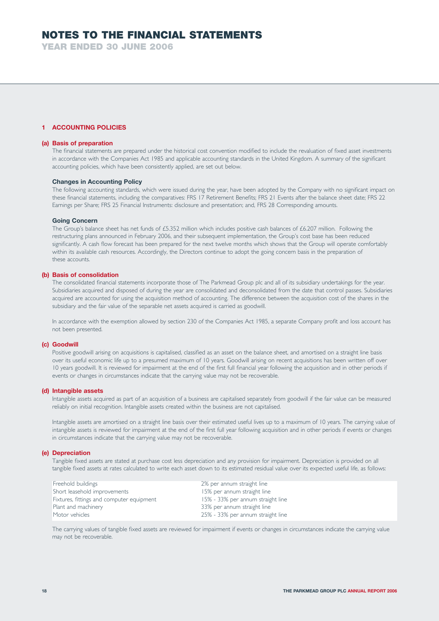**YEAR ENDED 30 JUNE 2006**

# **1 ACCOUNTING POLICIES**

## **(a) Basis of preparation**

The financial statements are prepared under the historical cost convention modified to include the revaluation of fixed asset investments in accordance with the Companies Act 1985 and applicable accounting standards in the United Kingdom. A summary of the significant accounting policies, which have been consistently applied, are set out below.

### **Changes in Accounting Policy**

The following accounting standards, which were issued during the year, have been adopted by the Company with no significant impact on these financial statements, including the comparatives: FRS 17 Retirement Benefits; FRS 21 Events after the balance sheet date; FRS 22 Earnings per Share; FRS 25 Financial Instruments: disclosure and presentation; and, FRS 28 Corresponding amounts.

#### **Going Concern**

The Group's balance sheet has net funds of £5.352 million which includes positive cash balances of £6.207 million. Following the restructuring plans announced in February 2006, and their subsequent implementation, the Group's cost base has been reduced significantly. A cash flow forecast has been prepared for the next twelve months which shows that the Group will operate comfortably within its available cash resources. Accordingly, the Directors continue to adopt the going concern basis in the preparation of these accounts.

#### **(b) Basis of consolidation**

The consolidated financial statements incorporate those of The Parkmead Group plc and all of its subsidiary undertakings for the year. Subsidiaries acquired and disposed of during the year are consolidated and deconsolidated from the date that control passes. Subsidiaries acquired are accounted for using the acquisition method of accounting. The difference between the acquisition cost of the shares in the subsidiary and the fair value of the separable net assets acquired is carried as goodwill.

In accordance with the exemption allowed by section 230 of the Companies Act 1985, a separate Company profit and loss account has not been presented.

#### **(c) Goodwill**

Positive goodwill arising on acquisitions is capitalised, classified as an asset on the balance sheet, and amortised on a straight line basis over its useful economic life up to a presumed maximum of 10 years. Goodwill arising on recent acquisitions has been written off over 10 years goodwill. It is reviewed for impairment at the end of the first full financial year following the acquisition and in other periods if events or changes in circumstances indicate that the carrying value may not be recoverable.

### **(d) Intangible assets**

Intangible assets acquired as part of an acquisition of a business are capitalised separately from goodwill if the fair value can be measured reliably on initial recognition. Intangible assets created within the business are not capitalised.

Intangible assets are amortised on a straight line basis over their estimated useful lives up to a maximum of 10 years. The carrying value of intangible assets is reviewed for impairment at the end of the first full year following acquisition and in other periods if events or changes in circumstances indicate that the carrying value may not be recoverable.

#### **(e) Depreciation**

Tangible fixed assets are stated at purchase cost less depreciation and any provision for impairment. Depreciation is provided on all tangible fixed assets at rates calculated to write each asset down to its estimated residual value over its expected useful life, as follows:

| Freehold buildings                        | 2% per annum straight line        |
|-------------------------------------------|-----------------------------------|
| Short leasehold improvements              | 15% per annum straight line       |
| Fixtures, fittings and computer equipment | 15% - 33% per annum straight line |
| Plant and machinery                       | 33% per annum straight line       |
| Motor vehicles                            | 25% - 33% per annum straight line |

The carrying values of tangible fixed assets are reviewed for impairment if events or changes in circumstances indicate the carrying value may not be recoverable.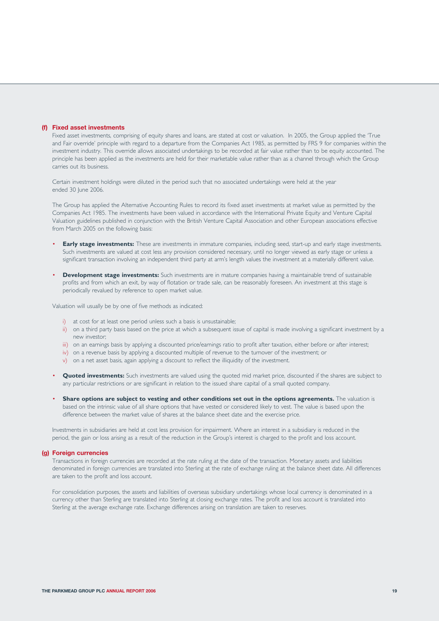#### **(f) Fixed asset investments**

Fixed asset investments, comprising of equity shares and loans, are stated at cost or valuation. In 2005, the Group applied the 'True and Fair override' principle with regard to a departure from the Companies Act 1985, as permitted by FRS 9 for companies within the investment industry. This override allows associated undertakings to be recorded at fair value rather than to be equity accounted. The principle has been applied as the investments are held for their marketable value rather than as a channel through which the Group carries out its business.

Certain investment holdings were diluted in the period such that no associated undertakings were held at the year ended 30 June 2006.

The Group has applied the Alternative Accounting Rules to record its fixed asset investments at market value as permitted by the Companies Act 1985. The investments have been valued in accordance with the International Private Equity and Venture Capital Valuation guidelines published in conjunction with the British Venture Capital Association and other European associations effective from March 2005 on the following basis:

- **Early stage investments:** These are investments in immature companies, including seed, start-up and early stage investments. Such investments are valued at cost less any provision considered necessary, until no longer viewed as early stage or unless a significant transaction involving an independent third party at arm's length values the investment at a materially different value.
- **Development stage investments:** Such investments are in mature companies having a maintainable trend of sustainable profits and from which an exit, by way of flotation or trade sale, can be reasonably foreseen. An investment at this stage is periodically revalued by reference to open market value.

Valuation will usually be by one of five methods as indicated:

- i) at cost for at least one period unless such a basis is unsustainable;
- ii) on a third party basis based on the price at which a subsequent issue of capital is made involving a significant investment by a new investor;
- iii) on an earnings basis by applying a discounted price/earnings ratio to profit after taxation, either before or after interest;
- iv) on a revenue basis by applying a discounted multiple of revenue to the turnover of the investment; or
- v) on a net asset basis, again applying a discount to reflect the illiquidity of the investment.
- **Quoted investments:** Such investments are valued using the quoted mid market price, discounted if the shares are subject to any particular restrictions or are significant in relation to the issued share capital of a small quoted company.
- **Share options are subject to vesting and other conditions set out in the options agreements.** The valuation is based on the intrinsic value of all share options that have vested or considered likely to vest. The value is based upon the difference between the market value of shares at the balance sheet date and the exercise price.

Investments in subsidiaries are held at cost less provision for impairment. Where an interest in a subsidiary is reduced in the period, the gain or loss arising as a result of the reduction in the Group's interest is charged to the profit and loss account.

#### **(g) Foreign currencies**

Transactions in foreign currencies are recorded at the rate ruling at the date of the transaction. Monetary assets and liabilities denominated in foreign currencies are translated into Sterling at the rate of exchange ruling at the balance sheet date. All differences are taken to the profit and loss account.

For consolidation purposes, the assets and liabilities of overseas subsidiary undertakings whose local currency is denominated in a currency other than Sterling are translated into Sterling at closing exchange rates. The profit and loss account is translated into Sterling at the average exchange rate. Exchange differences arising on translation are taken to reserves.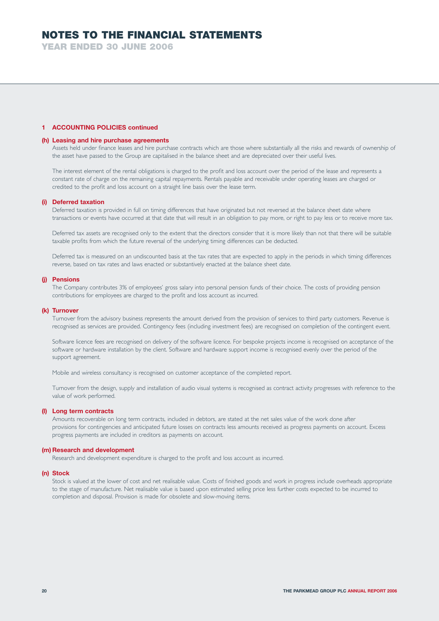**YEAR ENDED 30 JUNE 2006**

## **1 ACCOUNTING POLICIES continued**

#### **(h) Leasing and hire purchase agreements**

Assets held under finance leases and hire purchase contracts which are those where substantially all the risks and rewards of ownership of the asset have passed to the Group are capitalised in the balance sheet and are depreciated over their useful lives.

The interest element of the rental obligations is charged to the profit and loss account over the period of the lease and represents a constant rate of charge on the remaining capital repayments. Rentals payable and receivable under operating leases are charged or credited to the profit and loss account on a straight line basis over the lease term.

#### **(i) Deferred taxation**

Deferred taxation is provided in full on timing differences that have originated but not reversed at the balance sheet date where transactions or events have occurred at that date that will result in an obligation to pay more, or right to pay less or to receive more tax.

Deferred tax assets are recognised only to the extent that the directors consider that it is more likely than not that there will be suitable taxable profits from which the future reversal of the underlying timing differences can be deducted.

Deferred tax is measured on an undiscounted basis at the tax rates that are expected to apply in the periods in which timing differences reverse, based on tax rates and laws enacted or substantively enacted at the balance sheet date.

#### **(j) Pensions**

The Company contributes 3% of employees' gross salary into personal pension funds of their choice. The costs of providing pension contributions for employees are charged to the profit and loss account as incurred.

#### **(k) Turnover**

Turnover from the advisory business represents the amount derived from the provision of services to third party customers. Revenue is recognised as services are provided. Contingency fees (including investment fees) are recognised on completion of the contingent event.

Software licence fees are recognised on delivery of the software licence. For bespoke projects income is recognised on acceptance of the software or hardware installation by the client. Software and hardware support income is recognised evenly over the period of the support agreement.

Mobile and wireless consultancy is recognised on customer acceptance of the completed report.

Turnover from the design, supply and installation of audio visual systems is recognised as contract activity progresses with reference to the value of work performed.

#### **(l) Long term contracts**

Amounts recoverable on long term contracts, included in debtors, are stated at the net sales value of the work done after provisions for contingencies and anticipated future losses on contracts less amounts received as progress payments on account. Excess progress payments are included in creditors as payments on account.

### **(m) Research and development**

Research and development expenditure is charged to the profit and loss account as incurred.

#### **(n) Stock**

Stock is valued at the lower of cost and net realisable value. Costs of finished goods and work in progress include overheads appropriate to the stage of manufacture. Net realisable value is based upon estimated selling price less further costs expected to be incurred to completion and disposal. Provision is made for obsolete and slow-moving items.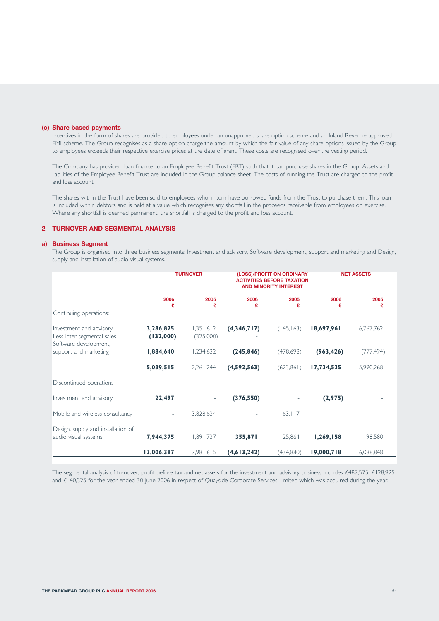#### **(o) Share based payments**

Incentives in the form of shares are provided to employees under an unapproved share option scheme and an Inland Revenue approved EMI scheme. The Group recognises as a share option charge the amount by which the fair value of any share options issued by the Group to employees exceeds their respective exercise prices at the date of grant. These costs are recognised over the vesting period.

The Company has provided loan finance to an Employee Benefit Trust (EBT) such that it can purchase shares in the Group. Assets and liabilities of the Employee Benefit Trust are included in the Group balance sheet. The costs of running the Trust are charged to the profit and loss account.

The shares within the Trust have been sold to employees who in turn have borrowed funds from the Trust to purchase them. This loan is included within debtors and is held at a value which recognises any shortfall in the proceeds receivable from employees on exercise. Where any shortfall is deemed permanent, the shortfall is charged to the profit and loss account.

## **2 TURNOVER AND SEGMENTAL ANALYSIS**

#### **a) Business Segment**

The Group is organised into three business segments: Investment and advisory, Software development, support and marketing and Design, supply and installation of audio visual systems.

|                                                                                |                        | <b>TURNOVER</b>        |               | (LOSS)/PROFIT ON ORDINARY<br><b>ACTIVITIES BEFORE TAXATION</b><br><b>AND MINORITY INTEREST</b> |            | <b>NET ASSETS</b> |  |  |
|--------------------------------------------------------------------------------|------------------------|------------------------|---------------|------------------------------------------------------------------------------------------------|------------|-------------------|--|--|
|                                                                                | 2006<br>£              | 2005<br>£              | 2006<br>£     | 2005<br>£                                                                                      | 2006<br>£  | 2005<br>£         |  |  |
| Continuing operations:                                                         |                        |                        |               |                                                                                                |            |                   |  |  |
| Investment and advisory<br>Less inter segmental sales<br>Software development, | 3,286,875<br>(132,000) | 1,351,612<br>(325,000) | (4,346,717)   | (145, 163)                                                                                     | 18,697,961 | 6,767,762         |  |  |
| support and marketing                                                          | 1,884,640              | 1,234,632              | (245, 846)    | (478, 698)                                                                                     | (963, 426) | (777, 494)        |  |  |
|                                                                                | 5,039,515              | 2,261,244              | (4,592,563)   | (623, 861)                                                                                     | 17,734,535 | 5,990,268         |  |  |
| Discontinued operations                                                        |                        |                        |               |                                                                                                |            |                   |  |  |
| Investment and advisory                                                        | 22,497                 |                        | (376, 550)    |                                                                                                | (2,975)    |                   |  |  |
| Mobile and wireless consultancy                                                | ٠                      | 3,828,634              |               | 63,117                                                                                         |            |                   |  |  |
| Design, supply and installation of<br>audio visual systems                     | 7,944,375              | 1,891,737              | 355,871       | 125,864                                                                                        | 1,269,158  | 98,580            |  |  |
|                                                                                | 13,006,387             | 7,981,615              | (4, 613, 242) | (434,880)                                                                                      | 19,000,718 | 6,088,848         |  |  |

The segmental analysis of turnover, profit before tax and net assets for the investment and advisory business includes £487,575, £128,925 and £140,325 for the year ended 30 June 2006 in respect of Quayside Corporate Services Limited which was acquired during the year.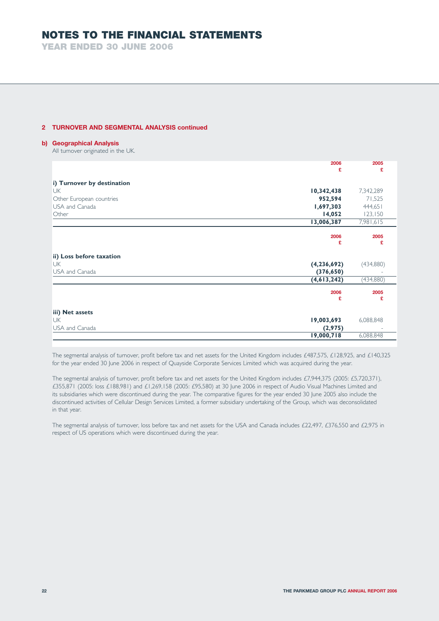**YEAR ENDED 30 JUNE 2006**

# **2 TURNOVER AND SEGMENTAL ANALYSIS continued**

### **b) Geographical Analysis**

All turnover originated in the UK.

|                            | 2006          | 2005      |
|----------------------------|---------------|-----------|
|                            | £             | £         |
| i) Turnover by destination |               |           |
| <b>UK</b>                  | 10,342,438    | 7,342,289 |
| Other European countries   | 952,594       | 71,525    |
| USA and Canada             | 1,697,303     | 444,651   |
| Other                      | 14,052        | 123,150   |
|                            | 13,006,387    | 7,981,615 |
|                            |               |           |
|                            | 2006<br>£     | 2005<br>£ |
|                            |               |           |
| ii) Loss before taxation   |               |           |
| <b>UK</b>                  | (4, 236, 692) | (434,880) |
| USA and Canada             | (376, 650)    |           |
|                            | (4,613,242)   | (434,880) |
|                            | 2006          | 2005      |
|                            | £             | £         |
|                            |               |           |
| iii) Net assets            |               |           |
| <b>UK</b>                  | 19,003,693    | 6,088,848 |
| USA and Canada             | (2,975)       |           |
|                            | 19,000,718    | 6,088,848 |

The segmental analysis of turnover, profit before tax and net assets for the United Kingdom includes £487,575, £128,925, and £140,325 for the year ended 30 June 2006 in respect of Quayside Corporate Services Limited which was acquired during the year.

The segmental analysis of turnover, profit before tax and net assets for the United Kingdom includes £7,944,375 (2005: £5,720,371), £355,871 (2005: loss £188,981) and £1,269,158 (2005: £95,580) at 30 June 2006 in respect of Audio Visual Machines Limited and its subsidiaries which were discontinued during the year. The comparative figures for the year ended 30 June 2005 also include the discontinued activities of Cellular Design Services Limited, a former subsidiary undertaking of the Group, which was deconsolidated in that year.

The segmental analysis of turnover, loss before tax and net assets for the USA and Canada includes £22,497, £376,550 and £2,975 in respect of US operations which were discontinued during the year.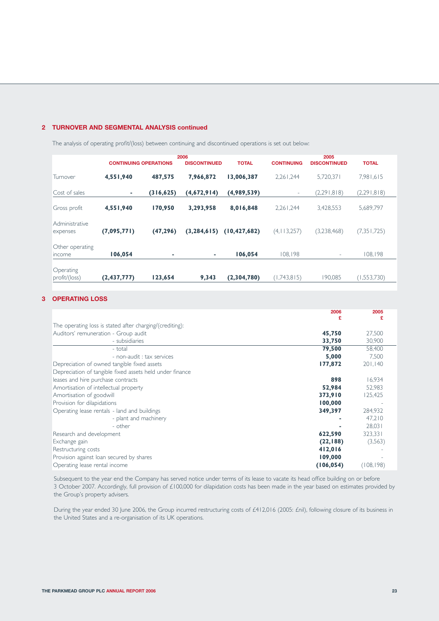# **2 TURNOVER AND SEGMENTAL ANALYSIS continued**

The analysis of operating profit/(loss) between continuing and discontinued operations is set out below:

|                            | <b>CONTINUING OPERATIONS</b> |            | 2006<br><b>DISCONTINUED</b> | <b>TOTAL</b>   | <b>CONTINUING</b> | 2005<br><b>DISCONTINUED</b> | <b>TOTAL</b>  |
|----------------------------|------------------------------|------------|-----------------------------|----------------|-------------------|-----------------------------|---------------|
| Turnover                   | 4,551,940                    | 487,575    | 7,966,872                   | 13,006,387     | 2,261,244         | 5,720,371                   | 7,981,615     |
| Cost of sales              | ٠                            | (316, 625) | (4,672,914)                 | (4,989,539)    | -                 | (2,291,818)                 | (2,291,818)   |
| Gross profit               | 4,551,940                    | 170,950    | 3,293,958                   | 8,016,848      | 2,261,244         | 3,428,553                   | 5,689,797     |
| Administrative<br>expenses | (7,095,771)                  | (47, 296)  | (3, 284, 615)               | (10, 427, 682) | (4, 113, 257)     | (3,238,468)                 | (7, 351, 725) |
| Other operating<br>income  | 106,054                      | ٠          | ٠                           | 106,054        | 108,198           | -                           | 108,198       |
| Operating<br>profit/(loss) | (2,437,777)                  | 123,654    | 9,343                       | (2,304,780)    | (1,743,815)       | 190,085                     | (1,553,730)   |

# **3 OPERATING LOSS**

|                                                          | 2006       | 2005       |
|----------------------------------------------------------|------------|------------|
|                                                          | £          |            |
| The operating loss is stated after charging/(crediting): |            |            |
| Auditors' remuneration - Group audit                     | 45,750     | 27,500     |
| - subsidiaries                                           | 33,750     | 30,900     |
| - total                                                  | 79,500     | 58,400     |
| - non-audit : tax services                               | 5,000      | 7.500      |
| Depreciation of owned tangible fixed assets              | 177,872    | 201,140    |
| Depreciation of tangible fixed assets held under finance |            |            |
| leases and hire purchase contracts                       | 898        | 16,934     |
| Amortisation of intellectual property                    | 52,984     | 52,983     |
| Amortisation of goodwill                                 | 373,910    | 125,425    |
| Provision for dilapidations                              | 100,000    |            |
| Operating lease rentals - land and buildings             | 349,397    | 284,932    |
| - plant and machinery                                    |            | 47,210     |
| - other                                                  |            | 28,031     |
| Research and development                                 | 622,590    | 323,331    |
| Exchange gain                                            | (22, 188)  | (3,563)    |
| Restructuring costs                                      | 412,016    |            |
| Provision against loan secured by shares                 | 109,000    |            |
| Operating lease rental income                            | (106, 054) | (108, 198) |

Subsequent to the year end the Company has served notice under terms of its lease to vacate its head office building on or before 3 October 2007. Accordingly, full provision of £100,000 for dilapidation costs has been made in the year based on estimates provided by the Group's property advisers.

During the year ended 30 June 2006, the Group incurred restructuring costs of £412,016 (2005: £nil), following closure of its business in the United States and a re-organisation of its UK operations.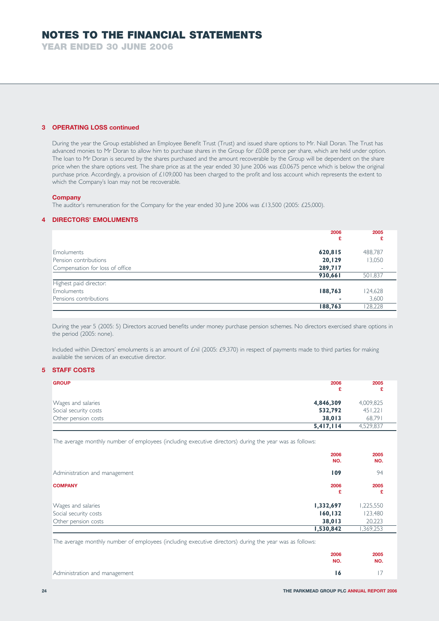**YEAR ENDED 30 JUNE 2006**

# **3 OPERATING LOSS continued**

During the year the Group established an Employee Benefit Trust (Trust) and issued share options to Mr. Niall Doran. The Trust has advanced monies to Mr Doran to allow him to purchase shares in the Group for £0.08 pence per share, which are held under option. The loan to Mr Doran is secured by the shares purchased and the amount recoverable by the Group will be dependent on the share price when the share options vest. The share price as at the year ended 30 June 2006 was £0.0675 pence which is below the original purchase price. Accordingly, a provision of £109,000 has been charged to the profit and loss account which represents the extent to which the Company's loan may not be recoverable.

### **Company**

The auditor's remuneration for the Company for the year ended 30 June 2006 was £13,500 (2005: £25,000).

#### **4 DIRECTORS' EMOLUMENTS**

|                                 | 2006<br>£ | 2005<br>£ |
|---------------------------------|-----------|-----------|
| Emoluments                      | 620,815   | 488,787   |
|                                 |           |           |
| Pension contributions           | 20,129    | 13,050    |
| Compensation for loss of office | 289,717   |           |
|                                 | 930,661   | 501,837   |
| Highest paid director:          |           |           |
| Emoluments                      | 188,763   | 124,628   |
| Pensions contributions          |           | 3,600     |
|                                 | 188,763   | 128,228   |

During the year 5 (2005: 5) Directors accrued benefits under money purchase pension schemes. No directors exercised share options in the period (2005: none).

Included within Directors' emoluments is an amount of £nil (2005: £9,370) in respect of payments made to third parties for making available the services of an executive director.

# **5 STAFF COSTS**

| <b>GROUP</b>          | 2006      | 2005      |
|-----------------------|-----------|-----------|
| Wages and salaries    | 4,846,309 | 4,009,825 |
| Social security costs | 532,792   | 451,221   |
| Other pension costs   | 38,013    | 68,791    |
|                       | 5,417,114 | 4,529,837 |

The average monthly number of employees (including executive directors) during the year was as follows:

|                                                                    | 2006<br>NO.                    | 2005<br>NO.                    |
|--------------------------------------------------------------------|--------------------------------|--------------------------------|
| Administration and management                                      | 109                            | 94                             |
| <b>COMPANY</b>                                                     | 2006<br>£                      | 2005<br>£                      |
| Wages and salaries<br>Social security costs<br>Other pension costs | 1,332,697<br>160,132<br>38,013 | 1,225,550<br>123,480<br>20,223 |
|                                                                    | 1,530,842                      | ,369,253                       |

The average monthly number of employees (including executive directors) during the year was as follows:

|                               | 2006<br>NO. | 2005<br>NO.     |
|-------------------------------|-------------|-----------------|
| Administration and management | - 16        | $\overline{17}$ |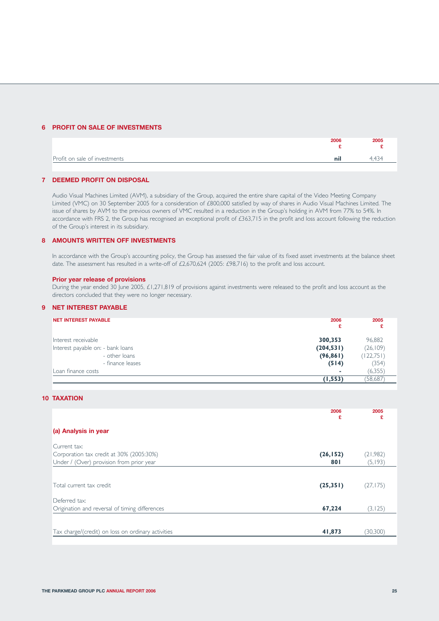# **6 PROFIT ON SALE OF INVESTMENTS**

|                               | 2006 | 2005 |
|-------------------------------|------|------|
| Profit on sale of investments | nil  | 4434 |

#### **7 DEEMED PROFIT ON DISPOSAL**

Audio Visual Machines Limited (AVM), a subsidiary of the Group, acquired the entire share capital of the Video Meeting Company Limited (VMC) on 30 September 2005 for a consideration of £800,000 satisfied by way of shares in Audio Visual Machines Limited. The issue of shares by AVM to the previous owners of VMC resulted in a reduction in the Group's holding in AVM from 77% to 54%. In accordance with FRS 2, the Group has recognised an exceptional profit of £363,715 in the profit and loss account following the reduction of the Group's interest in its subsidiary.

# **8 AMOUNTS WRITTEN OFF INVESTMENTS**

In accordance with the Group's accounting policy, the Group has assessed the fair value of its fixed asset investments at the balance sheet date. The assessment has resulted in a write-off of £2,670,624 (2005: £98,716) to the profit and loss account.

## **Prior year release of provisions**

During the year ended 30 June 2005, £1,271,819 of provisions against investments were released to the profit and loss account as the directors concluded that they were no longer necessary.

# **9 NET INTEREST PAYABLE**

| <b>NET INTEREST PAYABLE</b>       | 2006<br>£  | 2005       |
|-----------------------------------|------------|------------|
| Interest receivable               | 300,353    | 96,882     |
| Interest payable on: - bank loans | (204, 531) | (26, 109)  |
| - other loans                     | (96, 861)  | (122, 751) |
| - finance leases                  | (514)      | (354)      |
| Loan finance costs                | ٠          | (6,355)    |
|                                   | (1, 553)   | 58,687     |

# **10 TAXATION**

|                                                    | 2006<br>£ | 2005<br>£ |
|----------------------------------------------------|-----------|-----------|
| (a) Analysis in year                               |           |           |
| Current tax:                                       |           |           |
| Corporation tax credit at 30% (2005:30%)           | (26, 152) | (21,982)  |
| Under / (Over) provision from prior year           | 801       | (5,193)   |
|                                                    |           |           |
| Total current tax credit                           | (25, 351) | (27, 175) |
| Deferred tax:                                      |           |           |
| Origination and reversal of timing differences     | 67,224    | (3, 125)  |
|                                                    |           |           |
| Tax charge/(credit) on loss on ordinary activities | 41,873    | (30, 300) |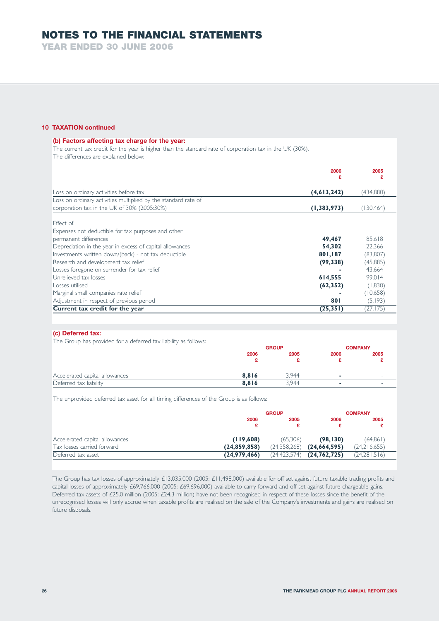**YEAR ENDED 30 JUNE 2006**

### **10 TAXATION continued**

| (b) Factors affecting tax charge for the year:<br>The current tax credit for the year is higher than the standard rate of corporation tax in the UK (30%).<br>The differences are explained below: |             |            |
|----------------------------------------------------------------------------------------------------------------------------------------------------------------------------------------------------|-------------|------------|
|                                                                                                                                                                                                    | 2006        | 2005       |
| Loss on ordinary activities before tax                                                                                                                                                             | (4,613,242) | (434,880)  |
| Loss on ordinary activities multiplied by the standard rate of                                                                                                                                     |             |            |
| corporation tax in the UK of 30% (2005:30%)                                                                                                                                                        | (1,383,973) | (130, 464) |
| Fffect of:<br>Expenses not deductible for tax purposes and other                                                                                                                                   |             |            |
| permanent differences                                                                                                                                                                              | 49,467      | 85,618     |
| Depreciation in the year in excess of capital allowances                                                                                                                                           | 54,302      | 22,366     |
| Investments written down/(back) - not tax deductible                                                                                                                                               | 801,187     | (83, 807)  |
| Research and development tax relief                                                                                                                                                                | (99, 338)   | (45,885)   |
| Losses foregone on surrender for tax relief                                                                                                                                                        |             | 43,664     |
| Unrelieved tax losses                                                                                                                                                                              | 614,555     | 99,014     |
| Losses utilised                                                                                                                                                                                    | (62, 352)   | (1,830)    |
| Marginal small companies rate relief                                                                                                                                                               |             | (10,658)   |
| Adjustment in respect of previous period                                                                                                                                                           | 801         | (5, 193)   |
| Current tax credit for the year                                                                                                                                                                    | (25, 351)   | (27, 175)  |

## **(c) Deferred tax:**

The Group has provided for a deferred tax liability as follows:

|                                |       | <b>GROUP</b> |        | <b>COMPANY</b>           |
|--------------------------------|-------|--------------|--------|--------------------------|
|                                | 2006  | 2005         | 2006   | 2005                     |
|                                |       |              |        |                          |
| Accelerated capital allowances | 8.816 | 3.944        | $\sim$ | $\overline{\phantom{a}}$ |
| Deferred tax liability         | 8,816 | 3.944        | ۰      | -                        |

The unprovided deferred tax asset for all timing differences of the Group is as follows:

|                                |                | <b>GROUP</b> |                | <b>COMPANY</b> |
|--------------------------------|----------------|--------------|----------------|----------------|
|                                | 2006<br>£      | 2005         | 2006<br>£      | 2005           |
| Accelerated capital allowances | (119,608)      | (65.306)     | (98, 130)      | (64, 861)      |
| Tax losses carried forward     | (24, 859, 858) | (24,358,268) | (24,664,595)   | (24,216,655)   |
| Deferred tax asset             | (24, 979, 466) | (24,423,574) | (24, 762, 725) | (24, 281, 516) |

The Group has tax losses of approximately £13,035,000 (2005: £11,498,000) available for off set against future taxable trading profits and capital losses of approximately £69,766,000 (2005: £69,696,000) available to carry forward and off set against future chargeable gains. Deferred tax assets of £25.0 million (2005: £24.3 million) have not been recognised in respect of these losses since the benefit of the unrecognised losses will only accrue when taxable profits are realised on the sale of the Company's investments and gains are realised on future disposals.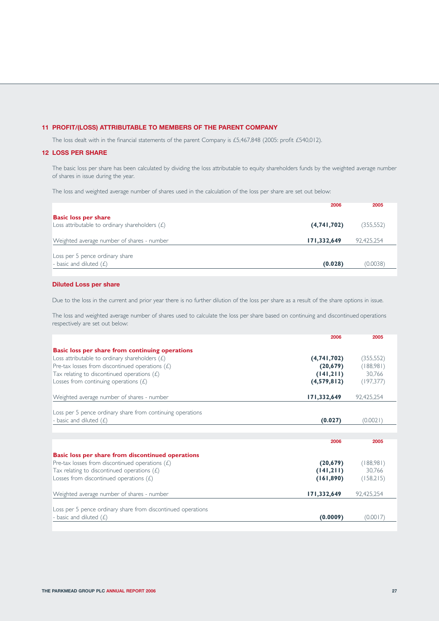# **11 PROFIT/(LOSS) ATTRIBUTABLE TO MEMBERS OF THE PARENT COMPANY**

The loss dealt with in the financial statements of the parent Company is £5,467,848 (2005: profit £540,012).

## **12 LOSS PER SHARE**

The basic loss per share has been calculated by dividing the loss attributable to equity shareholders funds by the weighted average number of shares in issue during the year.

The loss and weighted average number of shares used in the calculation of the loss per share are set out below:

| 2006                                                                                           | 2005       |
|------------------------------------------------------------------------------------------------|------------|
| <b>Basic loss per share</b><br>Loss attributable to ordinary shareholders $(E)$<br>(4,741,702) | (355,552)  |
| 171,332,649<br>Weighted average number of shares - number                                      | 92,425,254 |
| Loss per 5 pence ordinary share<br>- basic and diluted $(E)$<br>(0.028)                        | (0.0038)   |
|                                                                                                |            |

# **Diluted Loss per share**

Due to the loss in the current and prior year there is no further dilution of the loss per share as a result of the share options in issue.

The loss and weighted average number of shares used to calculate the loss per share based on continuing and discontinued operations respectively are set out below:

| 2006                                                            | 2005       |
|-----------------------------------------------------------------|------------|
| <b>Basic loss per share from continuing operations</b>          |            |
| (4,741,702)<br>Loss attributable to ordinary shareholders $(E)$ | (355, 552) |
| Pre-tax losses from discontinued operations $(E)$<br>(20, 679)  | (188,981)  |
| Tax relating to discontinued operations $(E)$<br>(141,211)      | 30,766     |
| Losses from continuing operations $(E)$<br>(4,579,812)          | (197, 377) |
| 171,332,649<br>Weighted average number of shares - number       | 92,425,254 |
|                                                                 |            |
| Loss per 5 pence ordinary share from continuing operations      |            |
| - basic and diluted $(E)$<br>(0.027)                            | (0.0021)   |
|                                                                 |            |
| 2006                                                            | 2005       |
| <b>Basic loss per share from discontinued operations</b>        |            |
| Pre-tax losses from discontinued operations $(E)$<br>(20, 679)  | (188,981)  |
| Tax relating to discontinued operations $(E)$<br>(141,211)      | 30,766     |
| Losses from discontinued operations $(E)$<br>(161, 890)         | (158,215)  |
| Weighted average number of shares - number<br>171,332,649       | 92,425,254 |
|                                                                 |            |
| Loss per 5 pence ordinary share from discontinued operations    |            |
| - basic and diluted $(E)$<br>(0.0009)                           | (0.0017)   |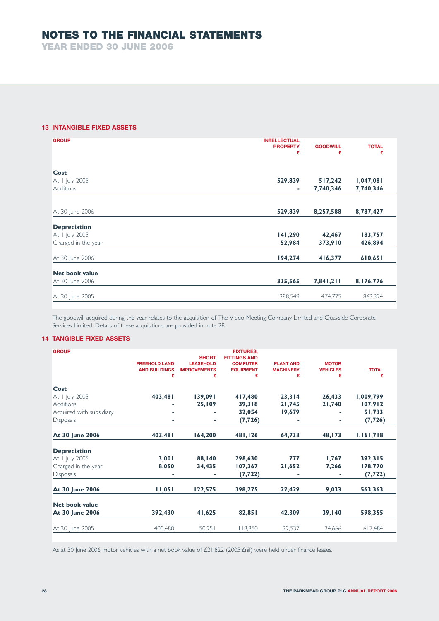**YEAR ENDED 30 JUNE 2006**

# **13 INTANGIBLE FIXED ASSETS**

| <b>GROUP</b>          | <b>INTELLECTUAL</b> |                 |              |
|-----------------------|---------------------|-----------------|--------------|
|                       | <b>PROPERTY</b>     | <b>GOODWILL</b> | <b>TOTAL</b> |
|                       | £                   | £               | £            |
|                       |                     |                 |              |
| Cost                  |                     |                 |              |
| At I July 2005        | 529,839             | 517,242         | 1,047,081    |
| Additions             | ٠                   | 7,740,346       | 7,740,346    |
|                       |                     |                 |              |
|                       |                     |                 |              |
| At 30 June 2006       | 529,839             | 8,257,588       | 8,787,427    |
|                       |                     |                 |              |
| <b>Depreciation</b>   |                     |                 |              |
| At I July 2005        | 141,290             | 42,467          | 183,757      |
| Charged in the year   | 52,984              | 373,910         | 426,894      |
| At 30 June 2006       | 194,274             | 416,377         | 610,651      |
|                       |                     |                 |              |
| <b>Net book value</b> |                     |                 |              |
| At 30 June 2006       | 335,565             | 7,841,211       | 8,176,776    |
|                       |                     |                 |              |
| At 30 June 2005       | 388,549             | 474,775         | 863,324      |
|                       |                     |                 |              |

The goodwill acquired during the year relates to the acquisition of The Video Meeting Company Limited and Quayside Corporate Services Limited. Details of these acquisitions are provided in note 28.

# **14 TANGIBLE FIXED ASSETS**

| <b>GROUP</b>             | <b>FREEHOLD LAND</b><br><b>AND BUILDINGS</b><br>£ | <b>SHORT</b><br><b>LEASEHOLD</b><br><b>IMPROVEMENTS</b><br>£ | <b>FIXTURES,</b><br><b>FITTINGS AND</b><br><b>COMPUTER</b><br><b>EQUIPMENT</b><br>£ | <b>PLANT AND</b><br><b>MACHINERY</b><br>£ | <b>MOTOR</b><br><b>VEHICLES</b><br>£ | <b>TOTAL</b><br>£ |
|--------------------------|---------------------------------------------------|--------------------------------------------------------------|-------------------------------------------------------------------------------------|-------------------------------------------|--------------------------------------|-------------------|
| Cost                     |                                                   |                                                              |                                                                                     |                                           |                                      |                   |
| At I July 2005           | 403,481                                           | 139,091                                                      | 417,480                                                                             | 23,314                                    | 26,433                               | 1,009,799         |
| <b>Additions</b>         |                                                   | 25,109                                                       | 39,318                                                                              | 21,745                                    | 21,740                               | 107,912           |
| Acquired with subsidiary |                                                   |                                                              | 32,054                                                                              | 19,679                                    |                                      | 51,733            |
| <b>Disposals</b>         | ٠                                                 | ۰                                                            | (7, 726)                                                                            |                                           |                                      | (7, 726)          |
| At 30 June 2006          | 403,481                                           | 164,200                                                      | 481,126                                                                             | 64,738                                    | 48,173                               | 1,161,718         |
| <b>Depreciation</b>      |                                                   |                                                              |                                                                                     |                                           |                                      |                   |
| At I July 2005           | 3,001                                             | 88,140                                                       | 298,630                                                                             | 777                                       | 1,767                                | 392,315           |
| Charged in the year      | 8,050                                             | 34,435                                                       | 107,367                                                                             | 21,652                                    | 7,266                                | 178,770           |
| <b>Disposals</b>         | ٠                                                 |                                                              | (7, 722)                                                                            | ۰                                         | ۰                                    | (7, 722)          |
| At 30 June 2006          | 11,051                                            | 122,575                                                      | 398,275                                                                             | 22,429                                    | 9,033                                | 563,363           |
| Net book value           |                                                   |                                                              |                                                                                     |                                           |                                      |                   |
| At 30 June 2006          | 392,430                                           | 41,625                                                       | 82,851                                                                              | 42,309                                    | 39,140                               | 598,355           |
| At 30 June 2005          | 400.480                                           | 50,951                                                       | 118,850                                                                             | 22,537                                    | 24.666                               | 617,484           |

As at 30 June 2006 motor vehicles with a net book value of £21,822 (2005: £nil) were held under finance leases.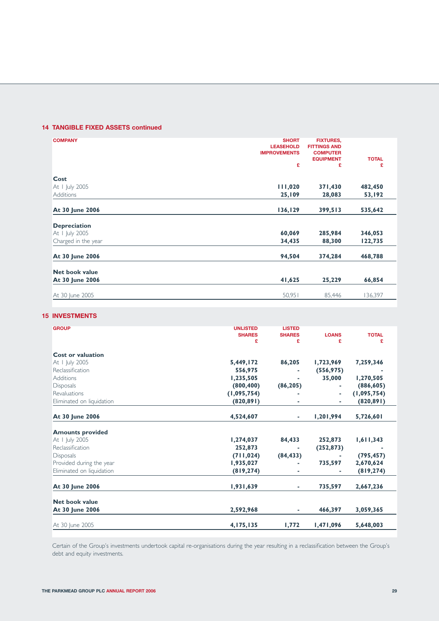# **14 TANGIBLE FIXED ASSETS continued**

| <b>COMPANY</b>      | <b>SHORT</b>        | <b>FIXTURES,</b>    |              |
|---------------------|---------------------|---------------------|--------------|
|                     | <b>LEASEHOLD</b>    | <b>FITTINGS AND</b> |              |
|                     | <b>IMPROVEMENTS</b> | <b>COMPUTER</b>     |              |
|                     |                     | <b>EQUIPMENT</b>    | <b>TOTAL</b> |
|                     | £                   | £                   | £            |
| Cost                |                     |                     |              |
| At I July 2005      | 111,020             | 371,430             | 482,450      |
| Additions           | 25,109              | 28,083              | 53,192       |
|                     |                     |                     |              |
| At 30 June 2006     | 136,129             | 399,513             | 535,642      |
| <b>Depreciation</b> |                     |                     |              |
|                     |                     |                     |              |
| At I July 2005      | 60,069              | 285,984             | 346,053      |
| Charged in the year | 34,435              | 88,300              | 122,735      |
| At 30 June 2006     | 94,504              | 374,284             | 468,788      |
|                     |                     |                     |              |
| Net book value      |                     |                     |              |
| At 30 June 2006     | 41,625              | 25,229              | 66,854       |
| At 30 June 2005     | 50,951              | 85,446              | 136,397      |
|                     |                     |                     |              |

# **15 INVESTMENTS**

| <b>GROUP</b>              | <b>UNLISTED</b><br><b>SHARES</b><br>£ | <b>LISTED</b><br><b>SHARES</b><br>£ | <b>LOANS</b><br>£ | <b>TOTAL</b><br>£ |
|---------------------------|---------------------------------------|-------------------------------------|-------------------|-------------------|
| <b>Cost or valuation</b>  |                                       |                                     |                   |                   |
| At I July 2005            | 5,449,172                             | 86,205                              | 1,723,969         | 7,259,346         |
| Reclassification          | 556,975                               |                                     | (556, 975)        |                   |
| Additions                 | 1,235,505                             |                                     | 35,000            | 1,270,505         |
| <b>Disposals</b>          | (800, 400)                            | (86, 205)                           | ٠                 | (886, 605)        |
| Revaluations              | (1,095,754)                           |                                     | ٠                 | (1,095,754)       |
| Eliminated on liquidation | (820, 891)                            | ۰                                   | ٠                 | (820, 891)        |
| At 30 June 2006           | 4,524,607                             | ٠                                   | 1,201,994         | 5,726,601         |
| <b>Amounts provided</b>   |                                       |                                     |                   |                   |
| At I July 2005            | 1,274,037                             | 84,433                              | 252,873           | 1,611,343         |
| Reclassification          | 252,873                               |                                     | (252, 873)        |                   |
| <b>Disposals</b>          | (711, 024)                            | (84, 433)                           |                   | (795, 457)        |
| Provided during the year  | 1,935,027                             | ٠                                   | 735,597           | 2,670,624         |
| Eliminated on liquidation | (819, 274)                            |                                     |                   | (819, 274)        |
| At 30 June 2006           | 1,931,639                             | ٠                                   | 735,597           | 2,667,236         |
| <b>Net book value</b>     |                                       |                                     |                   |                   |
| At 30 June 2006           | 2,592,968                             |                                     | 466,397           | 3,059,365         |
| At 30 June 2005           | 4,175,135                             | 1,772                               | 1,471,096         | 5,648,003         |

Certain of the Group's investments undertook capital re-organisations during the year resulting in a reclassification between the Group's debt and equity investments.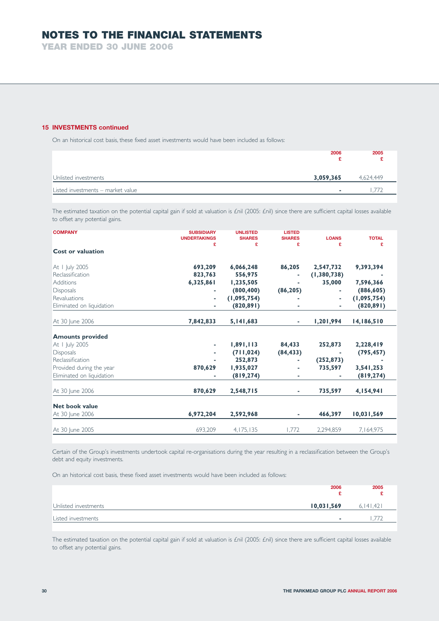**YEAR ENDED 30 JUNE 2006**

# **15 INVESTMENTS continued**

On an historical cost basis, these fixed asset investments would have been included as follows:

|                                   | 2006      | 2005      |
|-----------------------------------|-----------|-----------|
| Unlisted investments              | 3,059,365 | 4,624,449 |
| Listed investments - market value |           |           |

The estimated taxation on the potential capital gain if sold at valuation is £nil (2005: £nil) since there are sufficient capital losses available to offset any potential gains.

| <b>COMPANY</b>            | <b>SUBSIDIARY</b><br><b>UNDERTAKINGS</b><br>£ | <b>UNLISTED</b><br><b>SHARES</b><br>£ | <b>LISTED</b><br><b>SHARES</b><br>£ | <b>LOANS</b><br>£ | <b>TOTAL</b><br>£ |
|---------------------------|-----------------------------------------------|---------------------------------------|-------------------------------------|-------------------|-------------------|
| <b>Cost or valuation</b>  |                                               |                                       |                                     |                   |                   |
| At 1 July 2005            | 693,209                                       | 6,066,248                             | 86,205                              | 2,547,732         | 9,393,394         |
| Reclassification          | 823,763                                       | 556,975                               |                                     | (1, 380, 738)     |                   |
| Additions                 | 6,325,861                                     | 1,235,505                             |                                     | 35,000            | 7,596,366         |
| <b>Disposals</b>          | ٠                                             | (800, 400)                            | (86, 205)                           | ٠                 | (886, 605)        |
| Revaluations              | ٠                                             | (1,095,754)                           |                                     | ٠                 | (1,095,754)       |
| Eliminated on liquidation |                                               | (820, 891)                            |                                     |                   | (820, 891)        |
| At 30 June 2006           | 7,842,833                                     | 5,141,683                             | ٠                                   | 1,201,994         | 14,186,510        |
| <b>Amounts provided</b>   |                                               |                                       |                                     |                   |                   |
| At I July 2005            | ٠                                             | 1,891,113                             | 84,433                              | 252,873           | 2,228,419         |
| Disposals                 | ٠                                             | (711, 024)                            | (84, 433)                           | ٠                 | (795, 457)        |
| Reclassification          |                                               | 252,873                               |                                     | (252, 873)        |                   |
| Provided during the year  | 870,629                                       | 1,935,027                             |                                     | 735,597           | 3,541,253         |
| Eliminated on liquidation |                                               | (819, 274)                            | ٠                                   |                   | (819, 274)        |
| At 30 June 2006           | 870,629                                       | 2,548,715                             | ٠                                   | 735,597           | 4,154,941         |
|                           |                                               |                                       |                                     |                   |                   |
| <b>Net book value</b>     |                                               |                                       |                                     |                   |                   |
| At 30 June 2006           | 6,972,204                                     | 2,592,968                             | ٠                                   | 466,397           | 10,031,569        |
| At 30 June 2005           | 693,209                                       | 4, 175, 135                           | 1.772                               | 2,294,859         | 7,164,975         |

Certain of the Group's investments undertook capital re-organisations during the year resulting in a reclassification between the Group's debt and equity investments.

On an historical cost basis, these fixed asset investments would have been included as follows:

|                                    | 2006                     | 2005        |
|------------------------------------|--------------------------|-------------|
| 10,031,569<br>Unlisted investments |                          | 6, 141, 421 |
| Listed investments                 | $\overline{\phantom{a}}$ |             |

The estimated taxation on the potential capital gain if sold at valuation is £nil (2005: £nil) since there are sufficient capital losses available to offset any potential gains.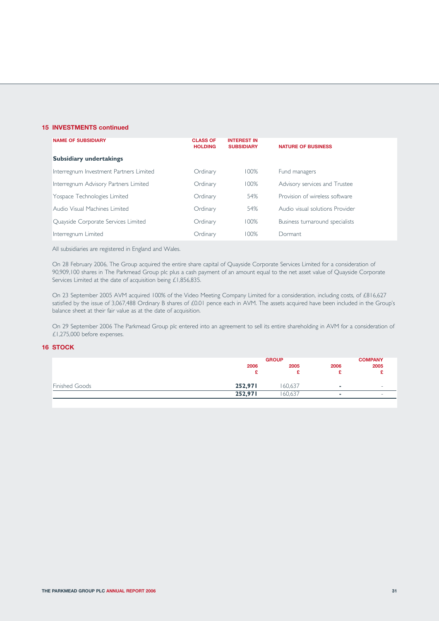# **15 INVESTMENTS continued**

| <b>NAME OF SUBSIDIARY</b>               | <b>CLASS OF</b><br><b>HOLDING</b> | <b>INTEREST IN</b><br><b>SUBSIDIARY</b> | <b>NATURE OF BUSINESS</b>       |
|-----------------------------------------|-----------------------------------|-----------------------------------------|---------------------------------|
| <b>Subsidiary undertakings</b>          |                                   |                                         |                                 |
| Interregnum Investment Partners Limited | Ordinary                          | 100%                                    | Fund managers                   |
| Interregnum Advisory Partners Limited   | Ordinary                          | 100%                                    | Advisory services and Trustee   |
| Yospace Technologies Limited            | Ordinary                          | 54%                                     | Provision of wireless software  |
| Audio Visual Machines Limited           | Ordinary                          | 54%                                     | Audio visual solutions Provider |
| Quayside Corporate Services Limited     | Ordinary                          | 100%                                    | Business turnaround specialists |
| Interregnum Limited                     | Ordinary                          | 100%                                    | Dormant                         |

All subsidiaries are registered in England and Wales.

On 28 February 2006, The Group acquired the entire share capital of Quayside Corporate Services Limited for a consideration of 90,909,100 shares in The Parkmead Group plc plus a cash payment of an amount equal to the net asset value of Quayside Corporate Services Limited at the date of acquisition being £1,856,835.

On 23 September 2005 AVM acquired 100% of the Video Meeting Company Limited for a consideration, including costs, of £816,627 satisfied by the issue of 3,067,488 Ordinary B shares of £0.01 pence each in AVM. The assets acquired have been included in the Group's balance sheet at their fair value as at the date of acquisition.

On 29 September 2006 The Parkmead Group plc entered into an agreement to sell its entire shareholding in AVM for a consideration of £1,275,000 before expenses.

## **16 STOCK**

|                       | <b>GROUP</b> |         |      | <b>COMPANY</b> |
|-----------------------|--------------|---------|------|----------------|
|                       | 2006         | 2005    | 2006 | 2005           |
|                       |              |         |      |                |
| <b>Finished Goods</b> | 252,971      | 60.637  | ۰    | $\equiv$       |
|                       | 252,971      | .60,637 | ۰    |                |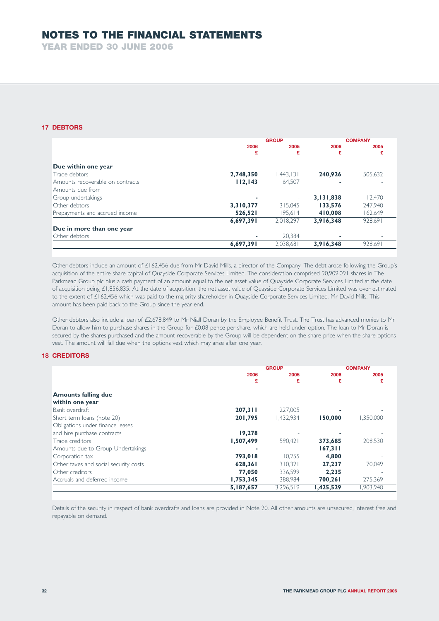**YEAR ENDED 30 JUNE 2006**

# **17 DEBTORS**

|                                  | <b>GROUP</b> |           |           | <b>COMPANY</b> |
|----------------------------------|--------------|-----------|-----------|----------------|
|                                  | 2006         | 2005      | 2006      | 2005           |
|                                  | £            | £         | £         | £              |
| Due within one year              |              |           |           |                |
| Trade debtors                    | 2,748,350    | 1.443.131 | 240,926   | 505.632        |
| Amounts recoverable on contracts | 112, 143     | 64.507    | ٠         |                |
| Amounts due from                 |              |           |           |                |
| Group undertakings               |              | ٠         | 3,131,838 | 12.470         |
| Other debtors                    | 3,310,377    | 315,045   | 133,576   | 247.940        |
| Prepayments and accrued income   | 526,521      | 195.614   | 410,008   | 162,649        |
|                                  | 6,697,391    | 2.018.297 | 3,916,348 | 928.691        |
| Due in more than one year        |              |           |           |                |
| Other debtors                    | ۰            | 20.384    | ۰         |                |
|                                  | 6,697,391    | 2,038,681 | 3,916,348 | 928,691        |

Other debtors include an amount of £162,456 due from Mr David Mills, a director of the Company. The debt arose following the Group's acquisition of the entire share capital of Quayside Corporate Services Limited. The consideration comprised 90,909,091 shares in The Parkmead Group plc plus a cash payment of an amount equal to the net asset value of Quayside Corporate Services Limited at the date of acquisition being £1,856,835. At the date of acquisition, the net asset value of Quayside Corporate Services Limited was over estimated to the extent of £162,456 which was paid to the majority shareholder in Quayside Corporate Services Limited, Mr David Mills. This amount has been paid back to the Group since the year end.

Other debtors also include a loan of £2,678,849 to Mr Niall Doran by the Employee Benefit Trust. The Trust has advanced monies to Mr Doran to allow him to purchase shares in the Group for £0.08 pence per share, which are held under option. The loan to Mr Doran is secured by the shares purchased and the amount recoverable by the Group will be dependent on the share price when the share options vest. The amount will fall due when the options vest which may arise after one year.

# **18 CREDITORS**

|                                       | <b>GROUP</b> |           |           | <b>COMPANY</b> |
|---------------------------------------|--------------|-----------|-----------|----------------|
|                                       | 2006         | 2005      | 2006      | 2005           |
|                                       | £            | £         | £         | £              |
| <b>Amounts falling due</b>            |              |           |           |                |
| within one year                       |              |           |           |                |
| Bank overdraft                        | 207,311      | 227,005   |           |                |
| Short term loans (note 20)            | 201,795      | 1.432.934 | 150,000   | 1,350,000      |
| Obligations under finance leases      |              |           |           |                |
| and hire purchase contracts           | 19,278       |           |           |                |
| Trade creditors                       | 1,507,499    | 590.421   | 373,685   | 208.530        |
| Amounts due to Group Undertakings     |              |           | 167,311   |                |
| Corporation tax                       | 793,018      | 10.255    | 4.800     |                |
| Other taxes and social security costs | 628,361      | 310.321   | 27.237    | 70.049         |
| Other creditors                       | 77,050       | 336,599   | 2,235     |                |
| Accruals and deferred income          | 1,753,345    | 388,984   | 700,261   | 275,369        |
|                                       | 5,187,657    | 3,296,519 | 1,425,529 | 903,948        |

Details of the security in respect of bank overdrafts and loans are provided in Note 20. All other amounts are unsecured, interest free and repayable on demand.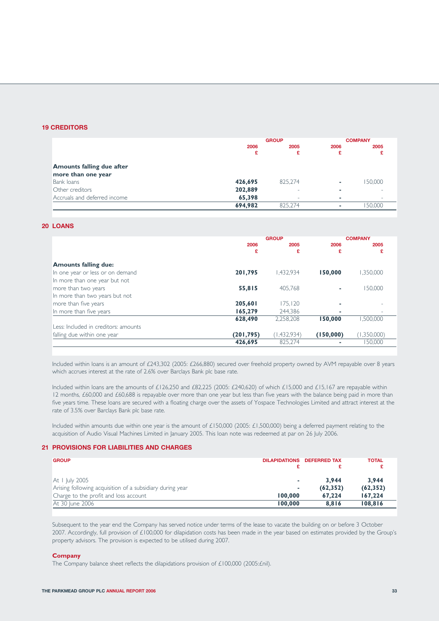### **19 CREDITORS**

|                                  | <b>GROUP</b> |         |      | <b>COMPANY</b> |
|----------------------------------|--------------|---------|------|----------------|
|                                  | 2006         | 2005    | 2006 | 2005           |
|                                  | £            | £       | £    |                |
| <b>Amounts falling due after</b> |              |         |      |                |
| more than one year               |              |         |      |                |
| Bank loans                       | 426,695      | 825.274 | ۰    | 150.000        |
| Other creditors                  | 202,889      | ۰       | ۰    |                |
| Accruals and deferred income     | 65,398       | ۰       |      |                |
|                                  | 694,982      | 825.274 |      | 50,000         |

## **20 LOANS**

|                                      | <b>GROUP</b> |             |           | <b>COMPANY</b> |
|--------------------------------------|--------------|-------------|-----------|----------------|
|                                      | 2006         | 2005        | 2006      | 2005           |
|                                      | £            | £           | £         | £              |
| <b>Amounts falling due:</b>          |              |             |           |                |
| In one year or less or on demand     | 201,795      | 1.432.934   | 150,000   | 1.350.000      |
| In more than one year but not        |              |             |           |                |
| more than two years                  | 55,815       | 405.768     | ٠         | 150.000        |
| In more than two years but not       |              |             |           |                |
| more than five years                 | 205,601      | 175.120     | ۰         |                |
| In more than five years              | 165,279      | 244.386     | ۰         |                |
|                                      | 628,490      | 2,258,208   | 150,000   | ,500,000       |
| Less: Included in creditors: amounts |              |             |           |                |
| falling due within one year          | (201, 795)   | (1,432,934) | (150,000) | (1,350,000)    |
|                                      | 426,695      | 825.274     |           | 150.000        |

Included within loans is an amount of £243,302 (2005: £266,880) secured over freehold property owned by AVM repayable over 8 years which accrues interest at the rate of 2.6% over Barclays Bank plc base rate.

Included within loans are the amounts of £126,250 and £82,225 (2005: £240,620) of which £15,000 and £15,167 are repayable within 12 months, £60,000 and £60,688 is repayable over more than one year but less than five years with the balance being paid in more than five years time. These loans are secured with a floating charge over the assets of Yospace Technologies Limited and attract interest at the rate of 3.5% over Barclays Bank plc base rate.

Included within amounts due within one year is the amount of £150,000 (2005: £1,500,000) being a deferred payment relating to the acquisition of Audio Visual Machines Limited in January 2005. This loan note was redeemed at par on 26 July 2006.

# **21 PROVISIONS FOR LIABILITIES AND CHARGES**

| <b>GROUP</b>                                              | <b>DILAPIDATIONS</b> | <b>DEFERRED TAX</b> | <b>TOTAL</b> |
|-----------------------------------------------------------|----------------------|---------------------|--------------|
|                                                           |                      |                     |              |
| At I July 2005                                            |                      | 3.944               | 3.944        |
| Arising following acquisition of a subsidiary during year | ۰                    | (62, 352)           | (62, 352)    |
| Charge to the profit and loss account                     | 100,000              | 67.224              | 167.224      |
| At 30 June 2006                                           | 100,000              | 8.816               | 108.816      |

Subsequent to the year end the Company has served notice under terms of the lease to vacate the building on or before 3 October 2007. Accordingly, full provision of £100,000 for dilapidation costs has been made in the year based on estimates provided by the Group's property advisors. The provision is expected to be utilised during 2007.

#### **Company**

The Company balance sheet reflects the dilapidations provision of £100,000 (2005:£nil).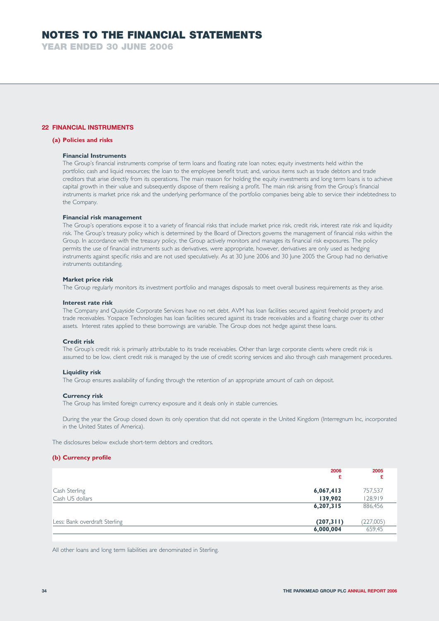**YEAR ENDED 30 JUNE 2006**

# **22 FINANCIAL INSTRUMENTS**

## **(a) Policies and risks**

#### **Financial Instruments**

The Group's financial instruments comprise of term loans and floating rate loan notes; equity investments held within the portfolio; cash and liquid resources; the loan to the employee benefit trust; and, various items such as trade debtors and trade creditors that arise directly from its operations. The main reason for holding the equity investments and long term loans is to achieve capital growth in their value and subsequently dispose of them realising a profit. The main risk arising from the Group's financial instruments is market price risk and the underlying performance of the portfolio companies being able to service their indebtedness to the Company.

#### **Financial risk management**

The Group's operations expose it to a variety of financial risks that include market price risk, credit risk, interest rate risk and liquidity risk. The Group's treasury policy which is determined by the Board of Directors governs the management of financial risks within the Group. In accordance with the treasury policy, the Group actively monitors and manages its financial risk exposures. The policy permits the use of financial instruments such as derivatives, were appropriate, however, derivatives are only used as hedging instruments against specific risks and are not used speculatively. As at 30 June 2006 and 30 June 2005 the Group had no derivative instruments outstanding.

#### **Market price risk**

The Group regularly monitors its investment portfolio and manages disposals to meet overall business requirements as they arise.

#### **Interest rate risk**

The Company and Quayside Corporate Services have no net debt. AVM has loan facilities secured against freehold property and trade receivables. Yospace Technologies has loan facilities secured against its trade receivables and a floating charge over its other assets. Interest rates applied to these borrowings are variable. The Group does not hedge against these loans.

#### **Credit risk**

The Group's credit risk is primarily attributable to its trade receivables. Other than large corporate clients where credit risk is assumed to be low, client credit risk is managed by the use of credit scoring services and also through cash management procedures.

#### **Liquidity risk**

The Group ensures availability of funding through the retention of an appropriate amount of cash on deposit.

#### **Currency risk**

The Group has limited foreign currency exposure and it deals only in stable currencies.

During the year the Group closed down its only operation that did not operate in the United Kingdom (Interregnum Inc, incorporated in the United States of America).

The disclosures below exclude short-term debtors and creditors.

# **(b) Currency profile**

| 2006<br>£ | £                                   |
|-----------|-------------------------------------|
| 6,067,413 | 757,537                             |
| 139,902   | 128,919                             |
|           | 886,456                             |
|           | (227,005)                           |
|           | 659,45                              |
|           | 6,207,315<br>(207,311)<br>6,000,004 |

All other loans and long term liabilities are denominated in Sterling.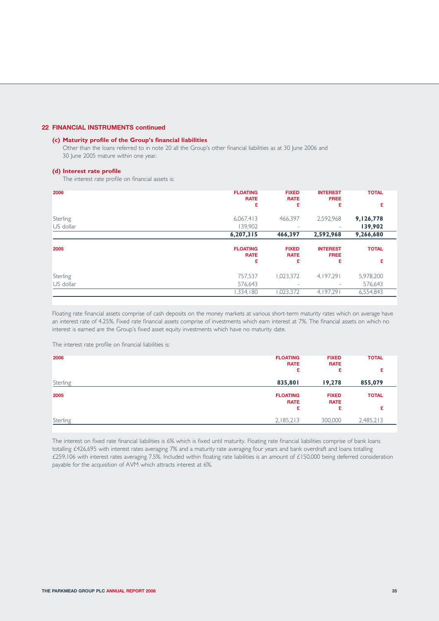## **22 FINANCIAL INSTRUMENTS continued**

## **(c) Maturity profile of the Group's financial liabilities**

Other than the loans referred to in note 20 all the Group's other financial liabilities as at 30 June 2006 and 30 June 2005 mature within one year.

#### **(d) Interest rate profile**

The interest rate profile on financial assets is:

| 2006      | <b>FLOATING</b><br><b>RATE</b> | <b>FIXED</b><br><b>RATE</b> | <b>INTEREST</b><br><b>FREE</b> | <b>TOTAL</b> |
|-----------|--------------------------------|-----------------------------|--------------------------------|--------------|
|           | £                              | £                           | £                              | £            |
| Sterling  | 6,067,413                      | 466,397                     | 2,592,968                      | 9,126,778    |
| US dollar | 139,902                        | ۰                           | $\sim$                         | 139,902      |
|           | 6,207,315                      | 466,397                     | 2,592,968                      | 9,266,680    |
| 2005      | <b>FLOATING</b><br><b>RATE</b> | <b>FIXED</b><br><b>RATE</b> | <b>INTEREST</b><br><b>FREE</b> | <b>TOTAL</b> |
|           | £                              | £                           | £                              | £            |
| Sterling  | 757,537                        | 1,023,372                   | 4.197.291                      | 5,978,200    |
| US dollar | 576,643                        | ۰                           |                                | 576,643      |
|           | 1,334,180                      | 023,372                     | 4, 197, 29                     | 6,554,843    |

Floating rate financial assets comprise of cash deposits on the money markets at various short-term maturity rates which on average have an interest rate of 4.25%. Fixed rate financial assets comprise of investments which earn interest at 7%. The financial assets on which no interest is earned are the Group's fixed asset equity investments which have no maturity date.

The interest rate profile on financial liabilities is:

| 2006     | <b>FLOATING</b><br><b>RATE</b><br>£ | <b>FIXED</b><br><b>RATE</b><br>£ | <b>TOTAL</b><br>£ |
|----------|-------------------------------------|----------------------------------|-------------------|
| Sterling | 835,801                             | 19,278                           | 855,079           |
| 2005     | <b>FLOATING</b><br><b>RATE</b>      | <b>FIXED</b><br><b>RATE</b>      | <b>TOTAL</b>      |
|          | £                                   | £                                | £                 |
| Sterling | 2,185,213                           | 300,000                          | 2,485,213         |

The interest on fixed rate financial liabilities is 6% which is fixed until maturity. Floating rate financial liabilities comprise of bank loans totalling £426,695 with interest rates averaging 7% and a maturity rate averaging four years and bank overdraft and loans totalling £259,106 with interest rates averaging 7.5%. Included within floating rate liabilities is an amount of £150,000 being deferred consideration payable for the acquisition of AVM which attracts interest at 6%.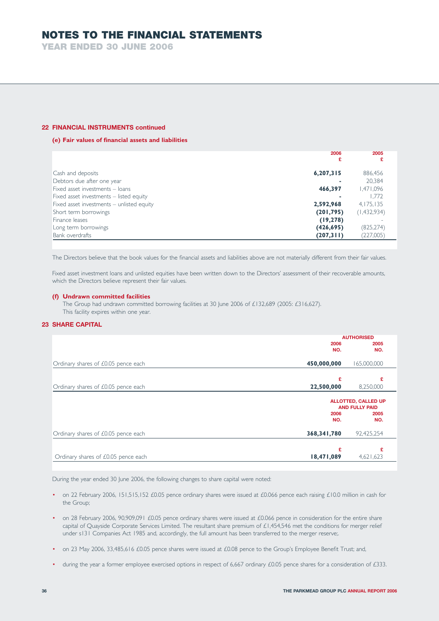**YEAR ENDED 30 JUNE 2006**

### **22 FINANCIAL INSTRUMENTS continued**

# **(e) Fair values of financial assets and liabilities**

|                                           | 2006        | 2005        |
|-------------------------------------------|-------------|-------------|
|                                           | £           |             |
| Cash and deposits                         | 6, 207, 315 | 886,456     |
| Debtors due after one year                |             | 20.384      |
| Fixed asset investments - loans           | 466,397     | 1,471,096   |
| Fixed asset investments - listed equity   |             | 1.772       |
| Fixed asset investments - unlisted equity | 2,592,968   | 4,175,135   |
| Short term borrowings                     | (201, 795)  | (1,432,934) |
| Finance leases                            | (19, 278)   |             |
| Long term borrowings                      | (426, 695)  | (825, 274)  |
| <b>Bank overdrafts</b>                    | (207,311)   | (227,005)   |

The Directors believe that the book values for the financial assets and liabilities above are not materially different from their fair values.

Fixed asset investment loans and unlisted equities have been written down to the Directors' assessment of their recoverable amounts, which the Directors believe represent their fair values.

### **(f) Undrawn committed facilities**

The Group had undrawn committed borrowing facilities at 30 June 2006 of £132,689 (2005: £316,627). This facility expires within one year.

### **23 SHARE CAPITAL**

|                                                    | <b>AUTHORISED</b>                            |
|----------------------------------------------------|----------------------------------------------|
| 2006<br>NO.                                        | 2005<br>NO.                                  |
| 450,000,000<br>Ordinary shares of £0.05 pence each | 165,000,000                                  |
| £                                                  | £                                            |
| 22,500,000<br>Ordinary shares of £0.05 pence each  | 8,250,000                                    |
|                                                    | ALLOTTED, CALLED UP<br><b>AND FULLY PAID</b> |
| 2006<br>NO.                                        | 2005<br>NO.                                  |
| 368,341,780<br>Ordinary shares of £0.05 pence each | 92,425,254                                   |
| £                                                  | £                                            |
| 18,471,089<br>Ordinary shares of £0.05 pence each  | 4,621,623                                    |

During the year ended 30 June 2006, the following changes to share capital were noted:

- on 22 February 2006, 151,515,152 £0.05 pence ordinary shares were issued at £0.066 pence each raising £10.0 million in cash for the Group;
- on 28 February 2006, 90,909,091 £0.05 pence ordinary shares were issued at £0.066 pence in consideration for the entire share capital of Quayside Corporate Services Limited. The resultant share premium of £1,454,546 met the conditions for merger relief under s131 Companies Act 1985 and, accordingly, the full amount has been transferred to the merger reserve;.
- on 23 May 2006, 33,485,616 £0.05 pence shares were issued at £0.08 pence to the Group's Employee Benefit Trust; and,
- during the year a former employee exercised options in respect of 6,667 ordinary £0.05 pence shares for a consideration of £333.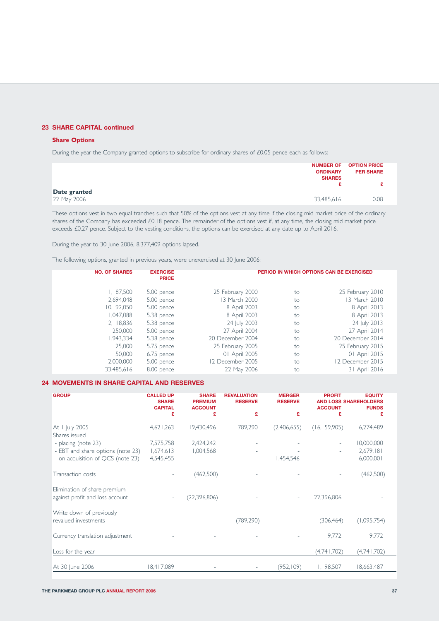# **23 SHARE CAPITAL continued**

## **Share Options**

During the year the Company granted options to subscribe for ordinary shares of £0.05 pence each as follows:

| <b>NUMBER OF</b><br><b>ORDINARY</b><br><b>SHARES</b> | <b>OPTION PRICE</b><br><b>PER SHARE</b> |
|------------------------------------------------------|-----------------------------------------|
| Date granted                                         |                                         |
| 22 May 2006<br>33,485,616                            | 0.08                                    |

These options vest in two equal tranches such that 50% of the options vest at any time if the closing mid market price of the ordinary shares of the Company has exceeded £0.18 pence. The remainder of the options vest if, at any time, the closing mid market price exceeds £0.27 pence. Subject to the vesting conditions, the options can be exercised at any date up to April 2016.

During the year to 30 June 2006, 8,377,409 options lapsed.

The following options, granted in previous years, were unexercised at 30 June 2006:

| <b>NO. OF SHARES</b> | <b>EXERCISE</b><br><b>PRICE</b> |                  |    | PERIOD IN WHICH OPTIONS CAN BE EXERCISED |
|----------------------|---------------------------------|------------------|----|------------------------------------------|
| 1,187,500            | 5.00 pence                      | 25 February 2000 | to | 25 February 2010                         |
| 2,694,048            | 5.00 pence                      | 13 March 2000    | to | 13 March 2010                            |
| 10,192,050           | 5.00 pence                      | 8 April 2003     | to | 8 April 2013                             |
| 1,047,088            | 5.38 pence                      | 8 April 2003     | to | 8 April 2013                             |
| 2,118,836            | 5.38 pence                      | 24 July 2003     | to | 24 July 2013                             |
| 250,000              | 5.00 pence                      | 27 April 2004    | to | 27 April 2014                            |
| 1,943,334            | 5.38 pence                      | 20 December 2004 | to | 20 December 2014                         |
| 25,000               | 5.75 pence                      | 25 February 2005 | to | 25 February 2015                         |
| 50,000               | 6.75 pence                      | 01 April 2005    | to | 01 April 2015                            |
| 2,000,000            | 5.00 pence                      | 12 December 2005 | to | 12 December 2015                         |
| 33,485,616           | 8.00 pence                      | 22 May 2006      | to | 31 April 2016                            |

# **24 MOVEMENTS IN SHARE CAPITAL AND RESERVES**

| <b>GROUP</b>                                                    | <b>CALLED UP</b><br><b>SHARE</b><br><b>CAPITAL</b> | <b>SHARE</b><br><b>PREMIUM</b><br><b>ACCOUNT</b> | <b>REVALUATION</b><br><b>RESERVE</b> | <b>MERGER</b><br><b>RESERVE</b> | <b>PROFIT</b><br><b>ACCOUNT</b> | <b>EQUITY</b><br><b>AND LOSS SHAREHOLDERS</b><br><b>FUNDS</b> |
|-----------------------------------------------------------------|----------------------------------------------------|--------------------------------------------------|--------------------------------------|---------------------------------|---------------------------------|---------------------------------------------------------------|
|                                                                 | £                                                  | £                                                | £                                    | £                               | £                               | £                                                             |
| At 1 July 2005<br>Shares issued                                 | 4,621,263                                          | 19,430,496                                       | 789,290                              | (2,406,655)                     | (16, 159, 905)                  | 6,274,489                                                     |
| - placing (note 23)                                             | 7,575,758                                          | 2,424,242                                        |                                      |                                 |                                 | 10,000,000                                                    |
| - EBT and share options (note 23)                               | 1,674,613                                          | 1,004,568                                        |                                      |                                 |                                 | 2,679,181                                                     |
| - on acquisition of QCS (note 23)                               | 4,545,455                                          |                                                  |                                      | 1,454,546                       |                                 | 6,000,001                                                     |
| Transaction costs                                               |                                                    | (462,500)                                        |                                      |                                 |                                 | (462,500)                                                     |
| Elimination of share premium<br>against profit and loss account |                                                    | (22, 396, 806)                                   |                                      |                                 | 22,396,806                      |                                                               |
| Write down of previously<br>revalued investments                |                                                    |                                                  | (789, 290)                           |                                 | (306, 464)                      | (1,095,754)                                                   |
| Currency translation adjustment                                 |                                                    |                                                  |                                      |                                 | 9,772                           | 9,772                                                         |
| Loss for the year                                               |                                                    |                                                  |                                      | $\sim$                          | (4,741,702)                     | (4,741,702)                                                   |
| At 30 June 2006                                                 | 18,417,089                                         |                                                  |                                      | (952, 109)                      | 1,198,507                       | 18,663,487                                                    |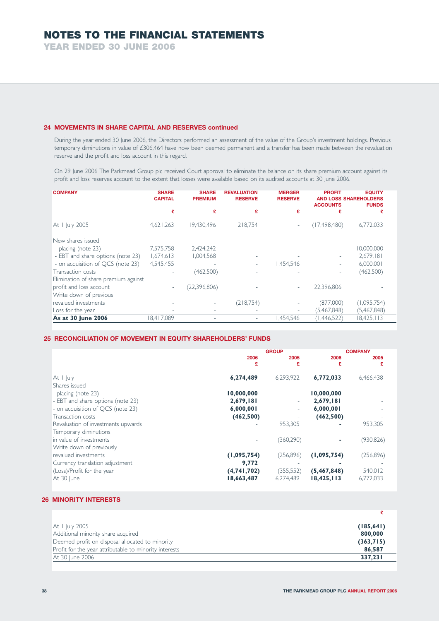**YEAR ENDED 30 JUNE 2006**

# **24 MOVEMENTS IN SHARE CAPITAL AND RESERVES continued**

During the year ended 30 June 2006, the Directors performed an assessment of the value of the Group's investment holdings. Previous temporary diminutions in value of £306,464 have now been deemed permanent and a transfer has been made between the revaluation reserve and the profit and loss account in this regard.

On 29 June 2006 The Parkmead Group plc received Court approval to eliminate the balance on its share premium account against its profit and loss reserves account to the extent that losses were available based on its audited accounts at 30 June 2006.

| <b>COMPANY</b>                       | <b>SHARE</b><br><b>CAPITAL</b> | <b>SHARE</b><br><b>PREMIUM</b> | <b>REVALUATION</b><br><b>RESERVE</b> | <b>MERGER</b><br><b>RESERVE</b> | <b>PROFIT</b><br><b>ACCOUNTS</b> | <b>EQUITY</b><br><b>AND LOSS SHAREHOLDERS</b><br><b>FUNDS</b> |
|--------------------------------------|--------------------------------|--------------------------------|--------------------------------------|---------------------------------|----------------------------------|---------------------------------------------------------------|
|                                      | £                              | £                              | £                                    |                                 | £                                | £                                                             |
| At I July 2005                       | 4,621,263                      | 19.430.496                     | 218.754                              |                                 | (17, 498, 480)                   | 6,772,033                                                     |
| New shares issued                    |                                |                                |                                      |                                 |                                  |                                                               |
| - placing (note 23)                  | 7,575,758                      | 2,424,242                      |                                      |                                 |                                  | 10,000,000                                                    |
| - EBT and share options (note 23)    | 1,674,613                      | 1,004,568                      |                                      |                                 |                                  | 2,679,181                                                     |
| - on acquisition of QCS (note 23)    | 4,545,455                      |                                |                                      | .454.546                        |                                  | 6,000,001                                                     |
| Transaction costs                    |                                | (462,500)                      |                                      |                                 |                                  | (462,500)                                                     |
| Elimination of share premium against |                                |                                |                                      |                                 |                                  |                                                               |
| profit and loss account              | $\overline{\phantom{a}}$       | (22, 396, 806)                 |                                      |                                 | 22,396,806                       |                                                               |
| Write down of previous               |                                |                                |                                      |                                 |                                  |                                                               |
| revalued investments                 |                                |                                | (218,754)                            |                                 | (877,000)                        | (1,095,754)                                                   |
| Loss for the year                    |                                |                                |                                      |                                 | (5,467,848)                      | (5,467,848)                                                   |
| As at 30 June 2006                   | 8,417,089                      |                                |                                      | 1,454,546                       | (1,446,522)                      | 18,425,113                                                    |

# **25 RECONCILIATION OF MOVEMENT IN EQUITY SHAREHOLDERS' FUNDS**

|                                    | <b>GROUP</b> |            | <b>COMPANY</b> |            |
|------------------------------------|--------------|------------|----------------|------------|
|                                    | 2006         | 2005       | 2006           | 2005       |
|                                    | £            | £          | £              | £          |
|                                    |              |            |                |            |
| At $ $ $ $ uly                     | 6,274,489    | 6,293,922  | 6,772,033      | 6,466,438  |
| Shares issued                      |              |            |                |            |
|                                    |              |            |                |            |
| - placing (note 23)                | 10,000,000   | ٠          | 10,000,000     |            |
| - EBT and share options (note 23)  | 2,679,181    | ٠          | 2,679,181      |            |
| - on acquisition of QCS (note 23)  | 6,000,001    | ٠          | 6,000,001      |            |
| Transaction costs                  | (462, 500)   |            | (462, 500)     |            |
| Revaluation of investments upwards |              | 953,305    |                | 953,305    |
| Temporary diminutions              |              |            |                |            |
| in value of investments            |              | (360, 290) | ۰              | (930, 826) |
| Write down of previously           |              |            |                |            |
| revalued investments               | (1,095,754)  | (256, 896) | (1,095,754)    | (256, 896) |
| Currency translation adjustment    | 9,772        |            |                |            |
| (Loss)/Profit for the year         | (4,741,702)  | (355, 552) | (5,467,848)    | 540,012    |
| At 30 June                         | 18,663,487   | 6,274,489  | 18,425,113     | 6,772,033  |

# **26 MINORITY INTERESTS**

| At I July 2005                                         | (185, 641) |
|--------------------------------------------------------|------------|
| Additional minority share acquired                     | 800,000    |
| Deemed profit on disposal allocated to minority        | (363,715)  |
| Profit for the year attributable to minority interests | 86,587     |
| At 30 June 2006                                        | 337.231    |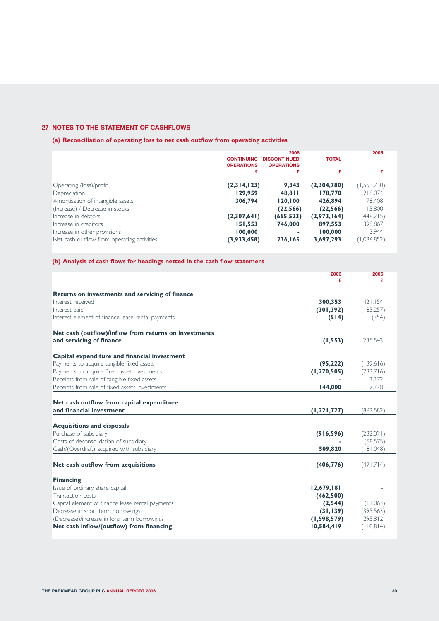# **27 NOTES TO THE STATEMENT OF CASHFLOWS**

**(a) Reconciliation of operating loss to net cash outflow from operating activities**

|                                            | <b>CONTINUING</b><br><b>OPERATIONS</b> | 2006<br><b>DISCONTINUED</b><br><b>OPERATIONS</b> | <b>TOTAL</b> | 2005        |
|--------------------------------------------|----------------------------------------|--------------------------------------------------|--------------|-------------|
|                                            | £                                      | £                                                | £            | £           |
| Operating (loss)/profit                    | (2,314,123)                            | 9,343                                            | (2,304,780)  | (1,553,730) |
| Depreciation                               | 129,959                                | 48,811                                           | 178,770      | 218,074     |
| Amortisation of intangible assets          | 306,794                                | 120,100                                          | 426,894      | 178,408     |
| (Increase) / Decrease in stocks            |                                        | (22, 566)                                        | (22, 566)    | 115,800     |
| Increase in debtors                        | (2,307,641)                            | (665, 523)                                       | (2,973,164)  | (448,215)   |
| Increase in creditors                      | 151,553                                | 746,000                                          | 897,553      | 398,867     |
| Increase in other provisions               | 100,000                                | ٠                                                | 100,000      | 3,944       |
| Net cash outflow from operating activities | (3,933,458)                            | 236,165                                          | 3,697,293    | (1,086,852) |

# **(b) Analysis of cash flows for headings netted in the cash flow statement**

|                                                       | 2006          | 2005       |
|-------------------------------------------------------|---------------|------------|
|                                                       | £             | £          |
| Returns on investments and servicing of finance       |               |            |
| Interest received                                     | 300,353       | 421,154    |
| Interest paid                                         | (301, 392)    | (185, 257) |
| Interest element of finance lease rental payments     | (514)         | (354)      |
| Net cash (outflow)/inflow from returns on investments |               |            |
| and servicing of finance                              | (1, 553)      | 235,543    |
|                                                       |               |            |
| Capital expenditure and financial investment          |               |            |
| Payments to acquire tangible fixed assets             | (95, 222)     | (139,616)  |
| Payments to acquire fixed asset investments           | (1, 270, 505) | (733,716)  |
| Receipts from sale of tangible fixed assets           |               | 3.372      |
| Receipts from sale of fixed assets investments        | 144,000       | 7,378      |
|                                                       |               |            |
| Net cash outflow from capital expenditure             |               |            |
| and financial investment                              | (1, 221, 727) | (862, 582) |
|                                                       |               |            |
| <b>Acquisitions and disposals</b>                     |               |            |
| Purchase of subsidiary                                | (916, 596)    | (232,091)  |
| Costs of deconsolidation of subsidiary                |               | (58, 575)  |
| Cash/(Overdraft) acquired with subsidiary             | 509,820       | (181,048)  |
| Net cash outflow from acquisitions                    | (406, 776)    | (471,714)  |
|                                                       |               |            |
| <b>Financing</b>                                      |               |            |
| Issue of ordinary share capital                       | 12,679,181    |            |
| Transaction costs                                     | (462, 500)    |            |
| Capital element of finance lease rental payments      | (2, 544)      | (11,063)   |
| Decrease in short term borrowings                     | (31, 139)     | (395,563)  |
| (Decrease)/increase in long term borrowings           | (1,598,579)   | 295,812    |
| Net cash inflow/(outflow) from financing              | 10,584,419    | (110,814)  |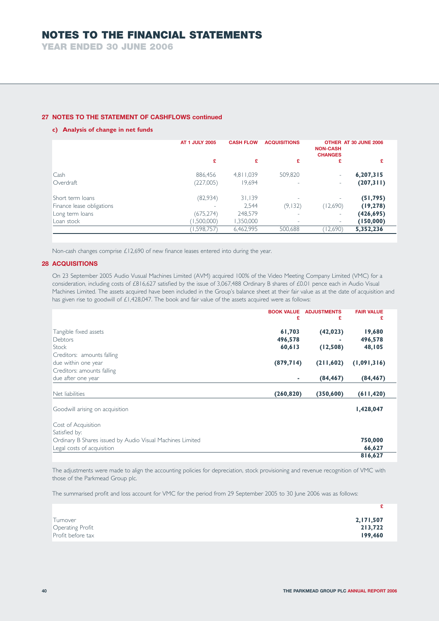**YEAR ENDED 30 JUNE 2006**

# **27 NOTES TO THE STATEMENT OF CASHFLOWS continued**

## **c) Analysis of change in net funds**

|                           | AT 1 JULY 2005 | <b>CASH FLOW</b> | <b>ACQUISITIONS</b>      | <b>NON-CASH</b><br><b>CHANGES</b> | OTHER AT 30 JUNE 2006 |
|---------------------------|----------------|------------------|--------------------------|-----------------------------------|-----------------------|
|                           | £              | £                | £                        | £                                 | £                     |
| Cash                      | 886.456        | 4,811,039        | 509,820                  | $\sim$                            | 6, 207, 315           |
| Overdraft                 | (227,005)      | 19,694           | ۰                        | ۰                                 | (207,311)             |
| Short term loans          | (82,934)       | 31,139           |                          |                                   | (51, 795)             |
| Finance lease obligations |                | 2.544            | (9,132)                  | (12,690)                          | (19, 278)             |
| Long term loans           | (675, 274)     | 248,579          | $\overline{\phantom{a}}$ | ۰                                 | (426, 695)            |
| Loan stock                | (1,500,000)    | 1,350,000        | ۰                        | ۰                                 | (150,000)             |
|                           | (1,598,757)    | 6,462,995        | 500,688                  | (12,690)                          | 5,352,236             |

Non-cash changes comprise £12,690 of new finance leases entered into during the year.

# **28 ACQUISITIONS**

On 23 September 2005 Audio Vusual Machines Limited (AVM) acquired 100% of the Video Meeting Company Limited (VMC) for a consideration, including costs of £816,627 satisfied by the issue of 3,067,488 Ordinary B shares of £0.01 pence each in Audio Visual Machines Limited. The assets acquired have been included in the Group's balance sheet at their fair value as at the date of acquisition and has given rise to goodwill of £1,428,047. The book and fair value of the assets acquired were as follows:

| <b>BOOK VALUE</b><br>£                                    | <b>ADJUSTMENTS</b><br>£ | <b>FAIR VALUE</b> |
|-----------------------------------------------------------|-------------------------|-------------------|
| 61,703<br>Tangible fixed assets                           | (42, 023)               | 19,680            |
| 496,578<br><b>Debtors</b>                                 |                         | 496,578           |
| 60,613<br>Stock                                           | (12,508)                | 48,105            |
| Creditors: amounts falling                                |                         |                   |
| (879, 714)<br>due within one year                         | (211,602)               | (1,091,316)       |
| Creditors: amounts falling                                |                         |                   |
| due after one year<br>۰                                   | (84, 467)               | (84, 467)         |
| Net liabilities<br>(260, 820)                             | (350, 600)              | (611, 420)        |
| Goodwill arising on acquisition                           |                         | 1,428,047         |
| Cost of Acquisition                                       |                         |                   |
| Satisfied by:                                             |                         |                   |
| Ordinary B Shares issued by Audio Visual Machines Limited |                         | 750,000           |
| Legal costs of acquisition                                |                         | 66,627            |
|                                                           |                         | 816,627           |

The adjustments were made to align the accounting policies for depreciation, stock provisioning and revenue recognition of VMC with those of the Parkmead Group plc.

The summarised profit and loss account for VMC for the period from 29 September 2005 to 30 June 2006 was as follows:

| Turnover                | 2,171,507 |
|-------------------------|-----------|
| <b>Operating Profit</b> | 213,722   |
| Profit before tax       | 199,460   |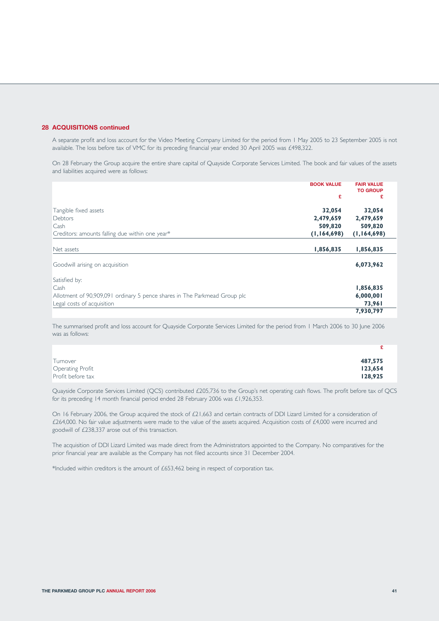# **28 ACQUISITIONS continued**

A separate profit and loss account for the Video Meeting Company Limited for the period from 1 May 2005 to 23 September 2005 is not available. The loss before tax of VMC for its preceding financial year ended 30 April 2005 was £498,322.

On 28 February the Group acquire the entire share capital of Quayside Corporate Services Limited. The book and fair values of the assets and liabilities acquired were as follows:

|                                                                           | <b>BOOK VALUE</b> | <b>FAIR VALUE</b><br><b>TO GROUP</b> |
|---------------------------------------------------------------------------|-------------------|--------------------------------------|
|                                                                           | £                 | £                                    |
| Tangible fixed assets                                                     | 32,054            | 32,054                               |
| Debtors                                                                   | 2,479,659         | 2,479,659                            |
| Cash                                                                      | 509,820           | 509,820                              |
| Creditors: amounts falling due within one year*                           | (1, 164, 698)     | (1,164,698)                          |
| Net assets                                                                | 1,856,835         | 1,856,835                            |
| Goodwill arising on acquisition                                           |                   | 6,073,962                            |
| Satisfied by:                                                             |                   |                                      |
| Cash                                                                      |                   | 1,856,835                            |
| Allotment of 90,909,091 ordinary 5 pence shares in The Parkmead Group plc |                   | 6,000,001                            |
| Legal costs of acquisition                                                |                   | 73,961                               |
|                                                                           |                   | 7,930,797                            |

The summarised profit and loss account for Quayside Corporate Services Limited for the period from 1 March 2006 to 30 June 2006 was as follows:

| Turnover          | 487,575 |
|-------------------|---------|
| Operating Profit  | 123,654 |
| Profit before tax | 128,925 |

Quayside Corporate Services Limited (QCS) contributed £205,736 to the Group's net operating cash flows. The profit before tax of QCS for its preceding 14 month financial period ended 28 February 2006 was £1,926,353.

On 16 February 2006, the Group acquired the stock of £21,663 and certain contracts of DDI Lizard Limited for a consideration of £264,000. No fair value adjustments were made to the value of the assets acquired. Acquisition costs of £4,000 were incurred and goodwill of £238,337 arose out of this transaction.

The acquisition of DDI Lizard Limited was made direct from the Administrators appointed to the Company. No comparatives for the prior financial year are available as the Company has not filed accounts since 31 December 2004.

\*Included within creditors is the amount of £653,462 being in respect of corporation tax.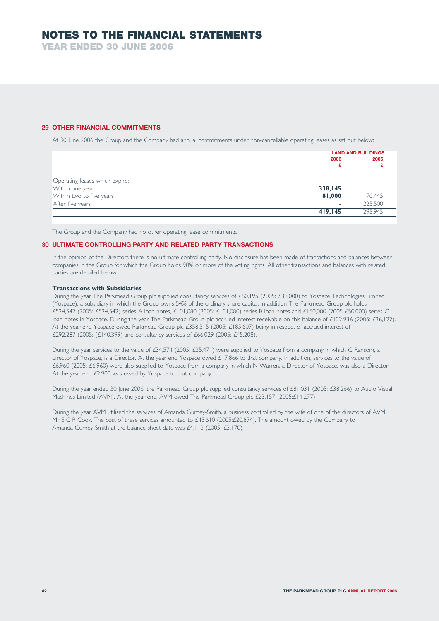**YEAR ENDED 30 JUNE 2006**

## **29 OTHER FINANCIAL COMMITMENTS**

At 30 June 2006 the Group and the Company had annual commitments under non-cancellable operating leases as set out below:

| 2006<br>£                          | <b>LAND AND BUILDINGS</b><br>2005 |
|------------------------------------|-----------------------------------|
| Operating leases which expire:     |                                   |
| Within one year<br>338,145         |                                   |
| 81,000<br>Within two to five years | 70,445                            |
| After five years<br>۰              | 225,500                           |
| 419,145                            | 295.945                           |

The Group and the Company had no other operating lease commitments.

### **30 ULTIMATE CONTROLLING PARTY AND RELATED PARTY TRANSACTIONS**

In the opinion of the Directors there is no ultimate controlling party. No disclosure has been made of transactions and balances between companies in the Group for which the Group holds 90% or more of the voting rights. All other transactions and balances with related parties are detailed below.

## **Transactions with Subsidiaries**

During the year The Parkmead Group plc supplied consultancy services of £60,195 (2005: £38,000) to Yospace Technologies Limited (Yospace), a subsidiary in which the Group owns 54% of the ordinary share capital. In addition The Parkmead Group plc holds £524,542 (2005: £524,542) series A loan notes, £101,080 (2005: £101,080) series B loan notes and £150,000 (2005 £50,000) series C loan notes in Yospace. During the year The Parkmead Group plc accrued interest receivable on this balance of £122,936 (2005: £36,122). At the year end Yospace owed Parkmead Group plc £358,315 (2005: £185,607) being in respect of accrued interest of £292,287 (2005: (£140,399) and consultancy services of £66,029 (2005: £45,208).

During the year services to the value of £34,574 (2005: £35,471) were supplied to Yospace from a company in which G Ransom, a director of Yospace, is a Director. At the year end Yospace owed £17,866 to that company. In addition, services to the value of £6,960 (2005: £6,960) were also supplied to Yospace from a company in which N Warren, a Director of Yospace, was also a Director. At the year end £2,900 was owed by Yospace to that company.

During the year ended 30 June 2006, the Parkmead Group plc supplied consultancy services of £81,031 (2005: £38,266) to Audio Visual Machines Limited (AVM). At the year end, AVM owed The Parkmead Group plc £23,157 (2005:£14,277)

During the year AVM utilised the services of Amanda Gurney-Smith, a business controlled by the wife of one of the directors of AVM, Mr E C P Cook. The cost of these services amounted to £45,610 (2005:£20,874). The amount owed by the Company to Amanda Gurney-Smith at the balance sheet date was £4,113 (2005: £3,170).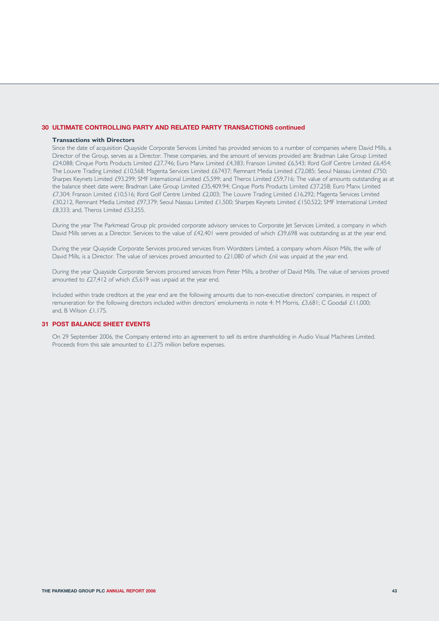### **30 ULTIMATE CONTROLLING PARTY AND RELATED PARTY TRANSACTIONS continued**

#### **Transactions with Directors**

Since the date of acquisition Quayside Corporate Services Limited has provided services to a number of companies where David Mills, a Director of the Group, serves as a Director. These companies, and the amount of services provided are: Bradman Lake Group Limited £24,088; Cinque Ports Products Limited £27,746; Euro Manx Limited £4,383; Franson Limited £6,543; Iford Golf Centre Limited £6,454; The Louvre Trading Limited £10,568; Magenta Services Limited £67437; Remnant Media Limited £72,085; Seoul Nassau Limited £750; Sharpes Keynets Limited £93,299; SMF International Limited £5,599; and Theros Limited £59,716; The value of amounts outstanding as at the balance sheet date were; Bradman Lake Group Limited £35,409.94; Cinque Ports Products Limited £37,258; Euro Manx Limited £7,304; Franson Limited £10,516; Iford Golf Centre Limited £2,003; The Louvre Trading Limited £16,292; Magenta Services Limited £30,212, Remnant Media Limited £97,379; Seoul Nassau Limited £1,500; Sharpes Keynets Limited £150,522; SMF International Limited £8,333; and, Theros Limited £53,255.

During the year The Parkmead Group plc provided corporate advisory services to Corporate Jet Services Limited, a company in which David Mills serves as a Director. Services to the value of £42,401 were provided of which £39,698 was outstanding as at the year end.

During the year Quayside Corporate Services procured services from Wordsters Limited, a company whom Alison Mills, the wife of David Mills, is a Director. The value of services proved amounted to £21,080 of which £nil was unpaid at the year end.

During the year Quayside Corporate Services procured services from Peter Mills, a brother of David Mills. The value of services proved amounted to £27,412 of which £5,619 was unpaid at the year end.

Included within trade creditors at the year end are the following amounts due to non-executive directors' companies, in respect of remuneration for the following directors included within directors' emoluments in note 4: M Morris, £3,681; C Goodall £11,000; and, B Wilson £1,175.

## **31 POST BALANCE SHEET EVENTS**

On 29 September 2006, the Company entered into an agreement to sell its entire shareholding in Audio Visual Machines Limited. Proceeds from this sale amounted to £1.275 million before expenses.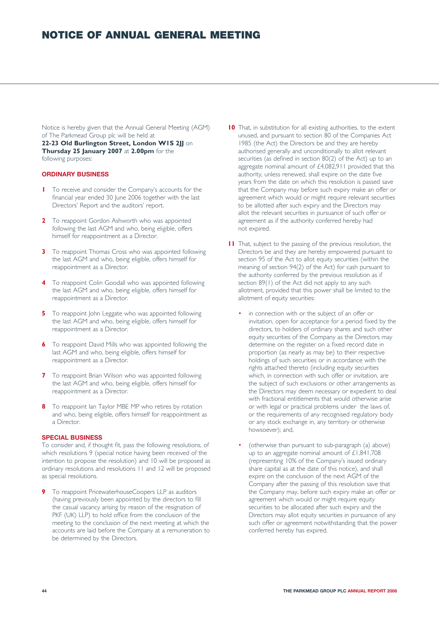Notice is hereby given that the Annual General Meeting (AGM) of The Parkmead Group plc will be held at **22-23 Old Burlington Street, London W1S 2JJ** on **Thursday 25 January 2007** at **2.00pm** for the following purposes:

# **ORDINARY BUSINESS**

- **1** To receive and consider the Company's accounts for the financial year ended 30 June 2006 together with the last Directors' Report and the auditors' report.
- **2** To reappoint Gordon Ashworth who was appointed following the last AGM and who, being eligible, offers himself for reappointment as a Director.
- **3** To reappoint Thomas Cross who was appointed following the last AGM and who, being eligible, offers himself for reappointment as a Director.
- **4** To reappoint Colin Goodall who was appointed following the last AGM and who, being eligible, offers himself for reappointment as a Director.
- **5** To reappoint John Leggate who was appointed following the last AGM and who, being eligible, offers himself for reappointment as a Director.
- **6** To reappoint David Mills who was appointed following the last AGM and who, being eligible, offers himself for reappointment as a Director.
- **7** To reappoint Brian Wilson who was appointed following the last AGM and who, being eligible, offers himself for reappointment as a Director.
- **8** To reappoint Ian Taylor MBE MP who retires by rotation and who, being eligible, offers himself for reappointment as a Director.

## **SPECIAL BUSINESS**

To consider and, if thought fit, pass the following resolutions, of which resolutions 9 (special notice having been received of the intention to propose the resolution) and 10 will be proposed as ordinary resolutions and resolutions 11 and 12 will be proposed as special resolutions.

**9** To reappoint PricewaterhouseCoopers LLP as auditors (having previously been appointed by the directors to fill the casual vacancy arising by reason of the resignation of PKF (UK) LLP) to hold office from the conclusion of the meeting to the conclusion of the next meeting at which the accounts are laid before the Company at a remuneration to be determined by the Directors.

- **10** That, in substitution for all existing authorities, to the extent unused, and pursuant to section 80 of the Companies Act 1985 (the Act) the Directors be and they are hereby authorised generally and unconditionally to allot relevant securities (as defined in section 80(2) of the Act) up to an aggregate nominal amount of £4,082,911 provided that this authority, unless renewed, shall expire on the date five years from the date on which this resolution is passed save that the Company may before such expiry make an offer or agreement which would or might require relevant securities to be allotted after such expiry and the Directors may allot the relevant securities in pursuance of such offer or agreement as if the authority conferred hereby had not expired.
- **11** That, subject to the passing of the previous resolution, the Directors be and they are hereby empowered pursuant to section 95 of the Act to allot equity securities (within the meaning of section 94(2) of the Act) for cash pursuant to the authority conferred by the previous resolution as if section 89(1) of the Act did not apply to any such allotment, provided that this power shall be limited to the allotment of equity securities:
	- in connection with or the subject of an offer or invitation, open for acceptance for a period fixed by the directors, to holders of ordinary shares and such other equity securities of the Company as the Directors may determine on the register on a fixed record date in proportion (as nearly as may be) to their respective holdings of such securities or in accordance with the rights attached thereto (including equity securities which, in connection with such offer or invitation, are the subject of such exclusions or other arrangements as the Directors may deem necessary or expedient to deal with fractional entitlements that would otherwise arise or with legal or practical problems under the laws of, or the requirements of any recognised regulatory body or any stock exchange in, any territory or otherwise howsoever); and,
	- (otherwise than pursuant to sub-paragraph (a) above) up to an aggregate nominal amount of £1,841,708 (representing 10% of the Company's issued ordinary share capital as at the date of this notice), and shall expire on the conclusion of the next AGM of the Company after the passing of this resolution save that the Company may, before such expiry make an offer or agreement which would or might require equity securities to be allocated after such expiry and the Directors may allot equity securities in pursuance of any such offer or agreement notwithstanding that the power conferred hereby has expired.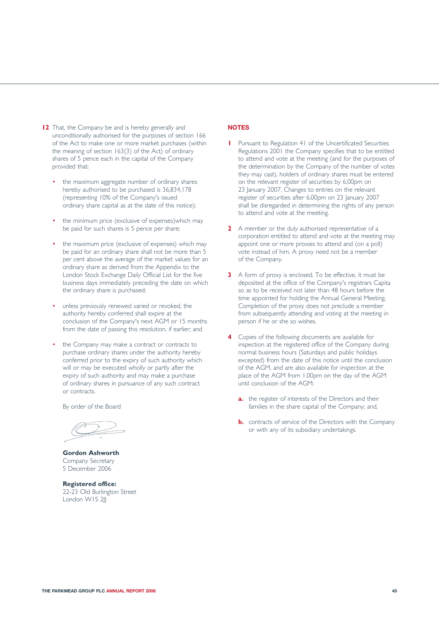- **12** That, the Company be and is hereby generally and unconditionally authorised for the purposes of section 166 of the Act to make one or more market purchases (within the meaning of section 163(3) of the Act) of ordinary shares of 5 pence each in the capital of the Company provided that:
	- the maximum aggregate number of ordinary shares hereby authorised to be purchased is 36,834,178 (representing 10% of the Company's issued ordinary share capital as at the date of this notice);
	- the minimum price (exclusive of expenses)which may be paid for such shares is 5 pence per share;
	- the maximum price (exclusive of expenses) which may be paid for an ordinary share shall not be more than 5 per cent above the average of the market values for an ordinary share as derived from the Appendix to the London Stock Exchange Daily Official List for the five business days immediately preceding the date on which the ordinary share is purchased;
	- unless previously renewed varied or revoked, the authority hereby conferred shall expire at the conclusion of the Company's next AGM or 15 months from the date of passing this resolution, if earlier; and
	- the Company may make a contract or contracts to purchase ordinary shares under the authority hereby conferred prior to the expiry of such authority which will or may be executed wholly or partly after the expiry of such authority and may make a purchase of ordinary shares in pursuance of any such contract or contracts.

By order of the Board

**Gordon Ashworth** Company Secretary 5 December 2006

**Registered office:** 22-23 Old Burlington Street London WIS 2II

# **NOTES**

- **1** Pursuant to Regulation 41 of the Uncertificated Securities Regulations 2001 the Company specifies that to be entitled to attend and vote at the meeting (and for the purposes of the determination by the Company of the number of votes they may cast), holders of ordinary shares must be entered on the relevant register of securities by 6.00pm on 23 January 2007. Changes to entries on the relevant register of securities after 6.00pm on 23 January 2007 shall be disregarded in determining the rights of any person to attend and vote at the meeting.
- **2** A member or the duly authorised representative of a corporation entitled to attend and vote at the meeting may appoint one or more proxies to attend and (on a poll) vote instead of him. A proxy need not be a member of the Company.
- **3** A form of proxy is enclosed. To be effective, it must be deposited at the office of the Company's registrars Capita so as to be received not later than 48 hours before the time appointed for holding the Annual General Meeting. Completion of the proxy does not preclude a member from subsequently attending and voting at the meeting in person if he or she so wishes.
- **4** Copies of the following documents are available for inspection at the registered office of the Company during normal business hours (Saturdays and public holidays excepted) from the date of this notice until the conclusion of the AGM, and are also available for inspection at the place of the AGM from 1.00pm on the day of the AGM until conclusion of the AGM:
	- **a.** the register of interests of the Directors and their families in the share capital of the Company; and,
	- **b.** contracts of service of the Directors with the Company or with any of its subsidiary undertakings.